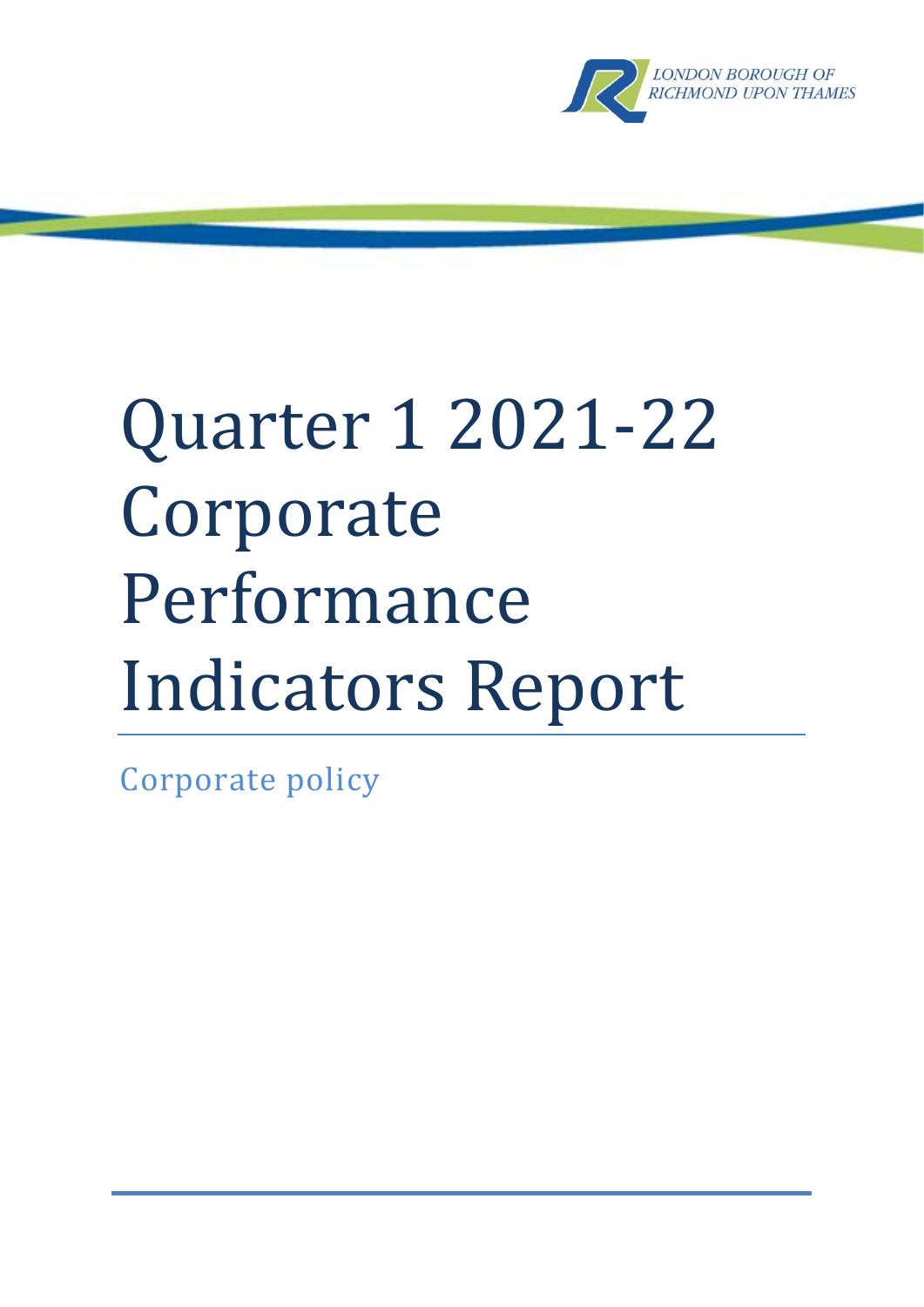

# Quarter 1 2021-22 Corporate Performance Indicators Report

Corporate policy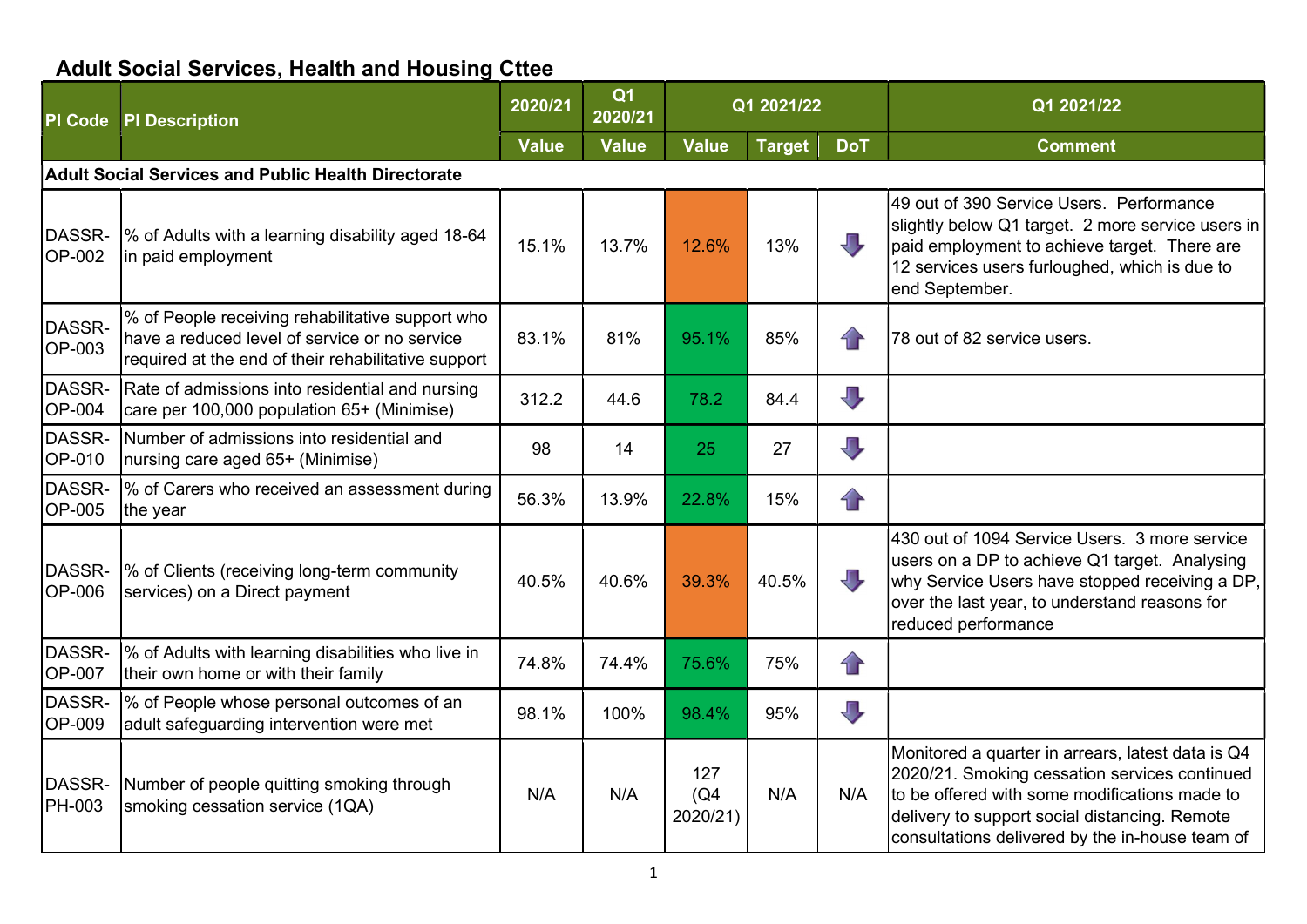## Adult Social Services, Health and Housing Cttee

| <b>PI Code</b>          | <b>PI Description</b>                                                                                                                                    | 2020/21      | Q <sub>1</sub><br>2020/21 |                         | Q1 2021/22    |                         | Q1 2021/22                                                                                                                                                                                                                                              |
|-------------------------|----------------------------------------------------------------------------------------------------------------------------------------------------------|--------------|---------------------------|-------------------------|---------------|-------------------------|---------------------------------------------------------------------------------------------------------------------------------------------------------------------------------------------------------------------------------------------------------|
|                         |                                                                                                                                                          | <b>Value</b> | <b>Value</b>              | <b>Value</b>            | <b>Target</b> | <b>DoT</b>              | <b>Comment</b>                                                                                                                                                                                                                                          |
|                         | <b>Adult Social Services and Public Health Directorate</b>                                                                                               |              |                           |                         |               |                         |                                                                                                                                                                                                                                                         |
| DASSR-<br><b>OP-002</b> | % of Adults with a learning disability aged 18-64<br>in paid employment                                                                                  | 15.1%        | 13.7%                     | 12.6%                   | 13%           | $\overline{\mathbb{L}}$ | 49 out of 390 Service Users. Performance<br>slightly below Q1 target. 2 more service users in<br>paid employment to achieve target. There are<br>12 services users furloughed, which is due to<br>end September.                                        |
| DASSR-<br>OP-003        | % of People receiving rehabilitative support who<br>have a reduced level of service or no service<br>required at the end of their rehabilitative support | 83.1%        | 81%                       | 95.1%                   | 85%           | $\bigcap$               | 78 out of 82 service users.                                                                                                                                                                                                                             |
| DASSR-<br><b>OP-004</b> | Rate of admissions into residential and nursing<br>care per 100,000 population 65+ (Minimise)                                                            | 312.2        | 44.6                      | 78.2                    | 84.4          | $\overline{\mathbb{J}}$ |                                                                                                                                                                                                                                                         |
| DASSR-<br>OP-010        | Number of admissions into residential and<br>nursing care aged 65+ (Minimise)                                                                            | 98           | 14                        | 25                      | 27            | $\overline{\mathbb{U}}$ |                                                                                                                                                                                                                                                         |
| DASSR-<br>OP-005        | % of Carers who received an assessment during<br>the year                                                                                                | 56.3%        | 13.9%                     | 22.8%                   | 15%           | $\bigcap$               |                                                                                                                                                                                                                                                         |
| DASSR-<br><b>OP-006</b> | % of Clients (receiving long-term community<br>services) on a Direct payment                                                                             | 40.5%        | 40.6%                     | 39.3%                   | 40.5%         | $\Box$                  | 430 out of 1094 Service Users. 3 more service<br>users on a DP to achieve Q1 target. Analysing<br>why Service Users have stopped receiving a DP,<br>over the last year, to understand reasons for<br>reduced performance                                |
| DASSR-<br>OP-007        | % of Adults with learning disabilities who live in<br>their own home or with their family                                                                | 74.8%        | 74.4%                     | 75.6%                   | 75%           | $\bigcap$               |                                                                                                                                                                                                                                                         |
| DASSR-<br><b>OP-009</b> | % of People whose personal outcomes of an<br>adult safeguarding intervention were met                                                                    | 98.1%        | 100%                      | 98.4%                   | 95%           | $\overline{\mathbb{U}}$ |                                                                                                                                                                                                                                                         |
| DASSR-<br><b>PH-003</b> | Number of people quitting smoking through<br>smoking cessation service (1QA)                                                                             | N/A          | N/A                       | 127<br>(Q4)<br>2020/21) | N/A           | N/A                     | Monitored a quarter in arrears, latest data is Q4<br>2020/21. Smoking cessation services continued<br>to be offered with some modifications made to<br>delivery to support social distancing. Remote<br>consultations delivered by the in-house team of |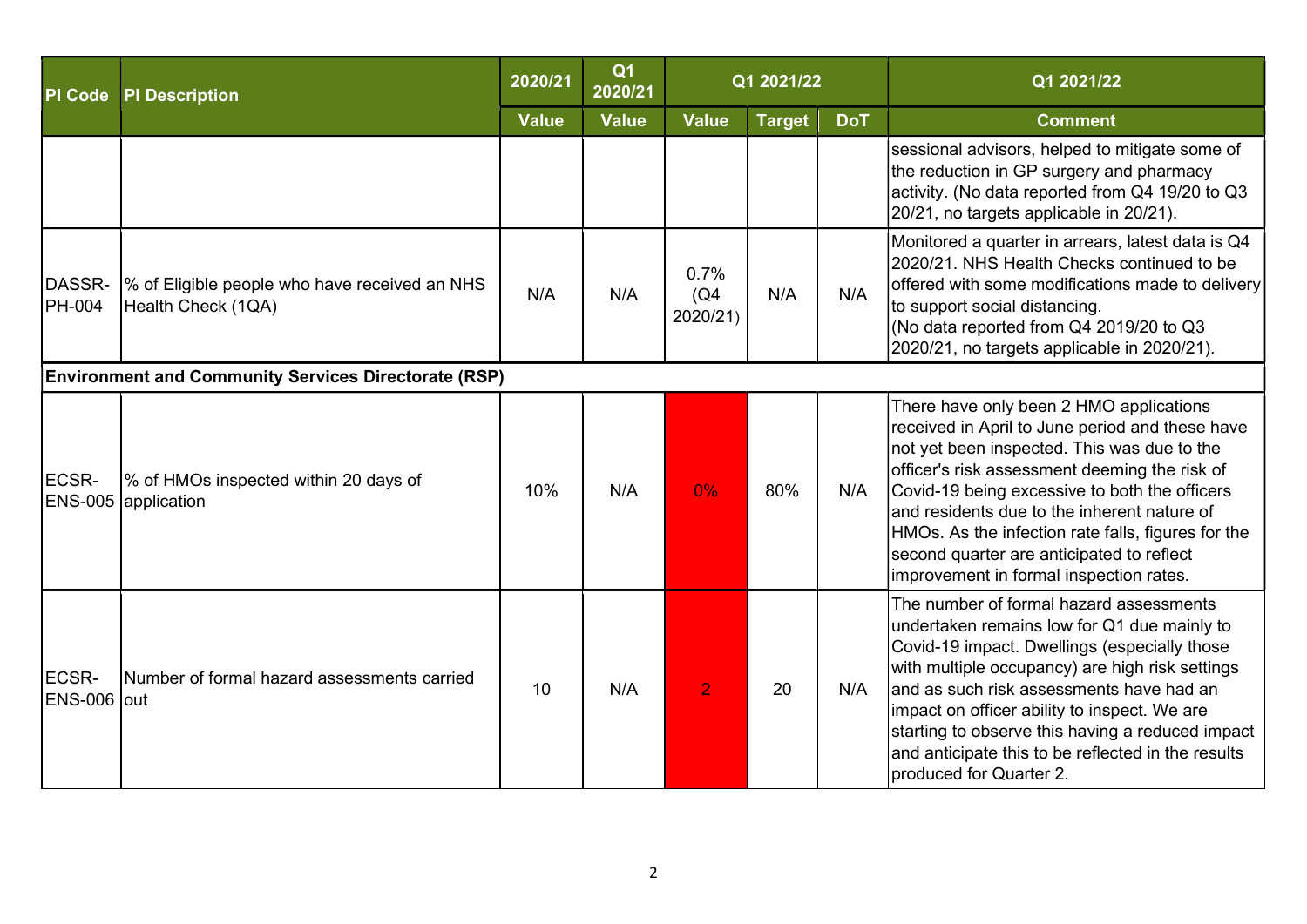| <b>PI Code</b>              | <b>PI Description</b>                                               | 2020/21      | Q <sub>1</sub><br>2020/21 |                          | Q1 2021/22    |            | Q1 2021/22                                                                                                                                                                                                                                                                                                                                                                                                                               |
|-----------------------------|---------------------------------------------------------------------|--------------|---------------------------|--------------------------|---------------|------------|------------------------------------------------------------------------------------------------------------------------------------------------------------------------------------------------------------------------------------------------------------------------------------------------------------------------------------------------------------------------------------------------------------------------------------------|
|                             |                                                                     | <b>Value</b> | <b>Value</b>              | <b>Value</b>             | <b>Target</b> | <b>DoT</b> | <b>Comment</b>                                                                                                                                                                                                                                                                                                                                                                                                                           |
|                             |                                                                     |              |                           |                          |               |            | sessional advisors, helped to mitigate some of<br>the reduction in GP surgery and pharmacy<br>activity. (No data reported from Q4 19/20 to Q3<br>20/21, no targets applicable in 20/21).                                                                                                                                                                                                                                                 |
| DASSR-<br>PH-004            | % of Eligible people who have received an NHS<br>Health Check (1QA) | N/A          | N/A                       | 0.7%<br>(Q4)<br>2020/21) | N/A           | N/A        | Monitored a quarter in arrears, latest data is Q4<br>2020/21. NHS Health Checks continued to be<br>offered with some modifications made to delivery<br>to support social distancing.<br>(No data reported from Q4 2019/20 to Q3<br>2020/21, no targets applicable in 2020/21).                                                                                                                                                           |
|                             | <b>Environment and Community Services Directorate (RSP)</b>         |              |                           |                          |               |            |                                                                                                                                                                                                                                                                                                                                                                                                                                          |
| <b>ECSR-</b>                | % of HMOs inspected within 20 days of<br>ENS-005 application        | 10%          | N/A                       | 0%                       | 80%           | N/A        | There have only been 2 HMO applications<br>received in April to June period and these have<br>not yet been inspected. This was due to the<br>officer's risk assessment deeming the risk of<br>Covid-19 being excessive to both the officers<br>and residents due to the inherent nature of<br>HMOs. As the infection rate falls, figures for the<br>second quarter are anticipated to reflect<br>improvement in formal inspection rates. |
| <b>ECSR-</b><br>ENS-006 out | Number of formal hazard assessments carried                         | 10           | N/A                       | $\overline{2}$           | 20            | N/A        | The number of formal hazard assessments<br>undertaken remains low for Q1 due mainly to<br>Covid-19 impact. Dwellings (especially those<br>with multiple occupancy) are high risk settings<br>and as such risk assessments have had an<br>impact on officer ability to inspect. We are<br>starting to observe this having a reduced impact<br>and anticipate this to be reflected in the results<br>produced for Quarter 2.               |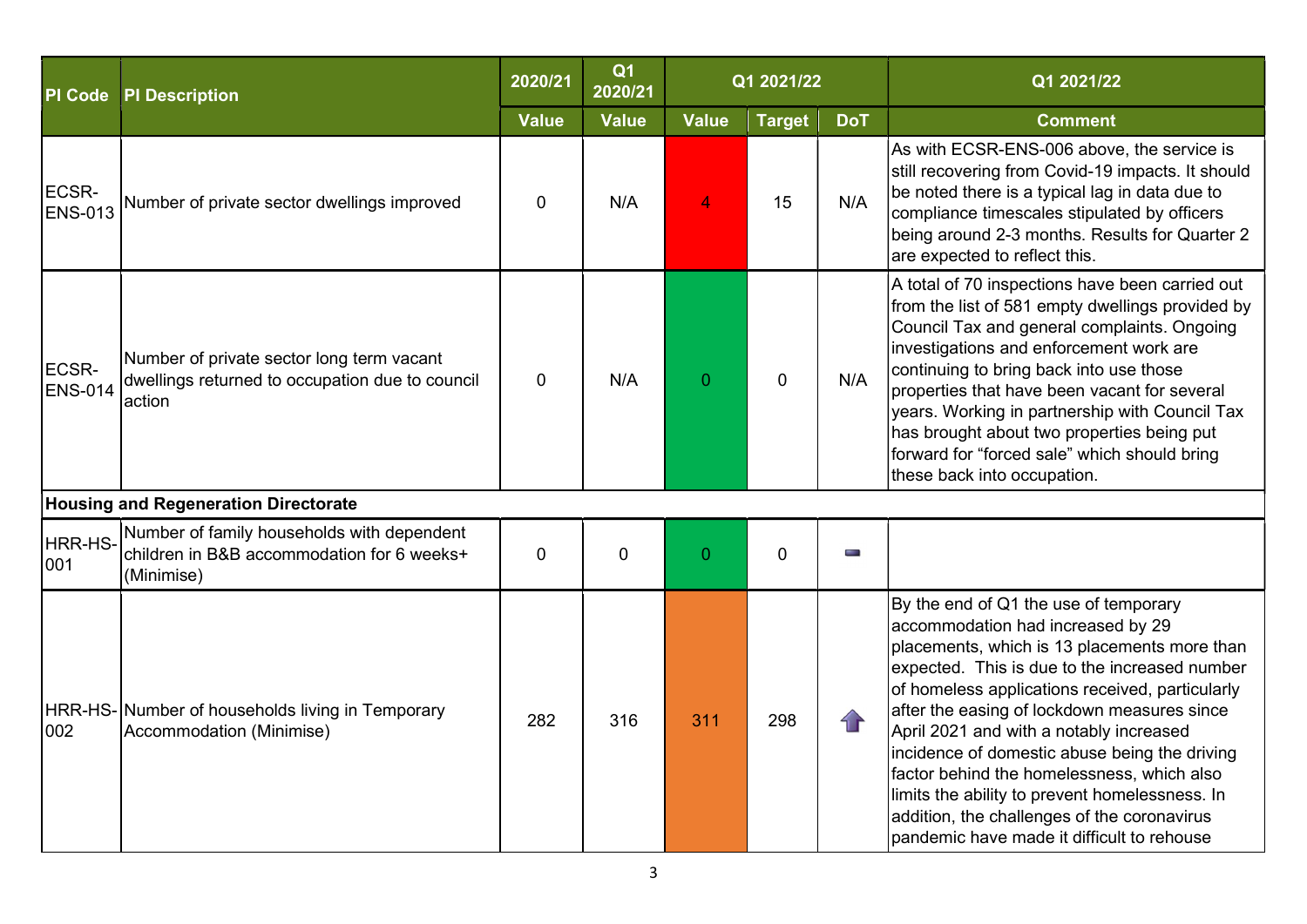| <b>PI</b> Code          | <b>PI Description</b>                                                                                  | 2020/21      | Q <sub>1</sub><br>2020/21 |              | Q1 2021/22     |            | Q1 2021/22                                                                                                                                                                                                                                                                                                                                                                                                                                                                                                                                                             |
|-------------------------|--------------------------------------------------------------------------------------------------------|--------------|---------------------------|--------------|----------------|------------|------------------------------------------------------------------------------------------------------------------------------------------------------------------------------------------------------------------------------------------------------------------------------------------------------------------------------------------------------------------------------------------------------------------------------------------------------------------------------------------------------------------------------------------------------------------------|
|                         |                                                                                                        | <b>Value</b> | <b>Value</b>              | <b>Value</b> | <b>Target</b>  | <b>DoT</b> | <b>Comment</b>                                                                                                                                                                                                                                                                                                                                                                                                                                                                                                                                                         |
| ECSR-<br><b>ENS-013</b> | Number of private sector dwellings improved                                                            | 0            | N/A                       | 4            | 15             | N/A        | As with ECSR-ENS-006 above, the service is<br>still recovering from Covid-19 impacts. It should<br>be noted there is a typical lag in data due to<br>compliance timescales stipulated by officers<br>being around 2-3 months. Results for Quarter 2<br>are expected to reflect this.                                                                                                                                                                                                                                                                                   |
| ECSR-<br><b>ENS-014</b> | Number of private sector long term vacant<br>dwellings returned to occupation due to council<br>action | $\mathbf{0}$ | N/A                       | $\Omega$     | $\overline{0}$ | N/A        | A total of 70 inspections have been carried out<br>from the list of 581 empty dwellings provided by<br>Council Tax and general complaints. Ongoing<br>investigations and enforcement work are<br>continuing to bring back into use those<br>properties that have been vacant for several<br>years. Working in partnership with Council Tax<br>has brought about two properties being put<br>forward for "forced sale" which should bring<br>these back into occupation.                                                                                                |
|                         | <b>Housing and Regeneration Directorate</b>                                                            |              |                           |              |                |            |                                                                                                                                                                                                                                                                                                                                                                                                                                                                                                                                                                        |
| HRR-HS-<br>001          | Number of family households with dependent<br>children in B&B accommodation for 6 weeks+<br>(Minimise) | $\mathbf 0$  | $\mathbf{0}$              | $\Omega$     | $\mathbf{0}$   | for a      |                                                                                                                                                                                                                                                                                                                                                                                                                                                                                                                                                                        |
| 002                     | HRR-HS- Number of households living in Temporary<br>Accommodation (Minimise)                           | 282          | 316                       | 311          | 298            |            | By the end of Q1 the use of temporary<br>accommodation had increased by 29<br>placements, which is 13 placements more than<br>expected. This is due to the increased number<br>of homeless applications received, particularly<br>after the easing of lockdown measures since<br>April 2021 and with a notably increased<br>incidence of domestic abuse being the driving<br>factor behind the homelessness, which also<br>limits the ability to prevent homelessness. In<br>addition, the challenges of the coronavirus<br>pandemic have made it difficult to rehouse |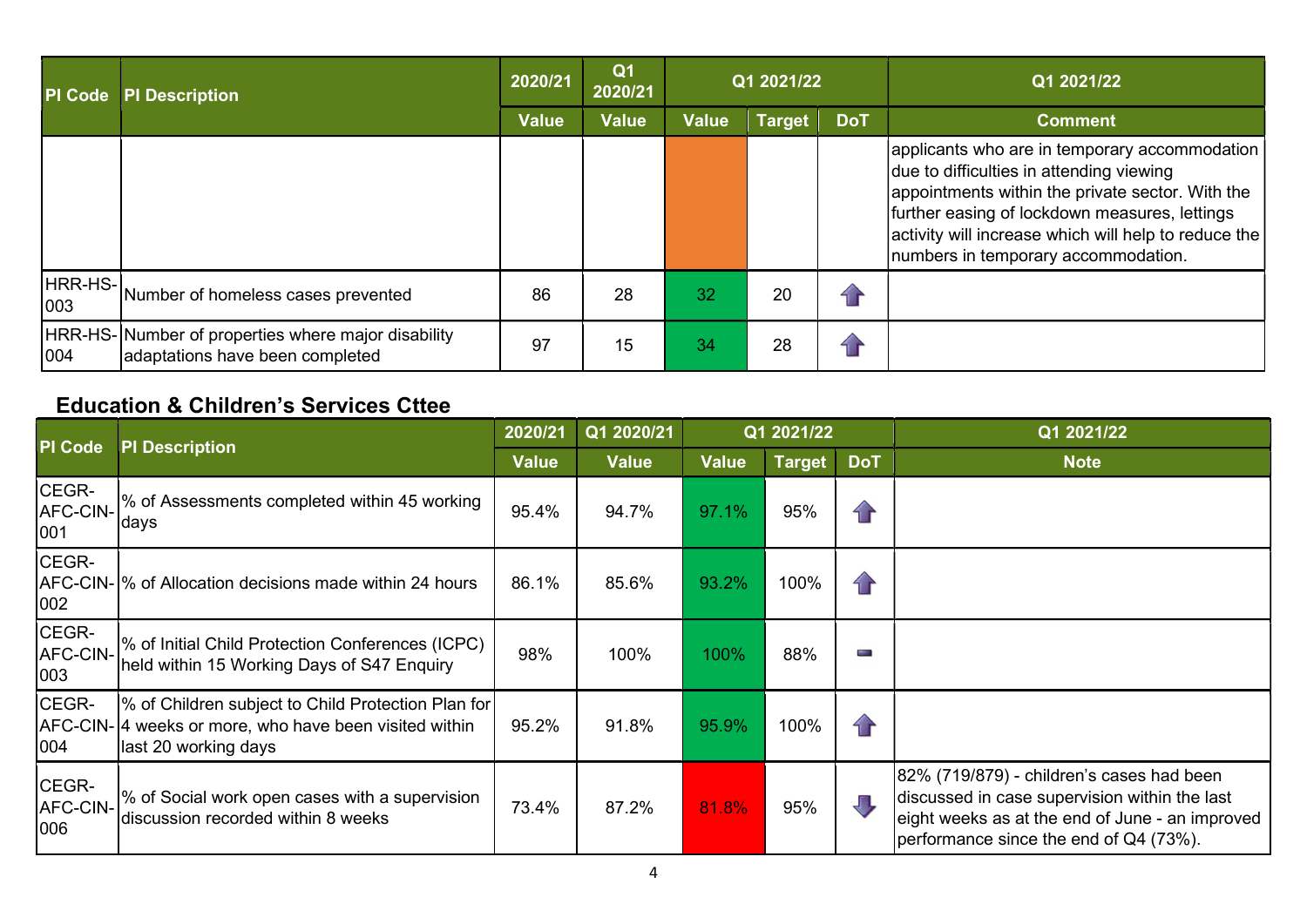| <b>PI Code</b> | <b>PI Description</b>                                                                 | 2020/21      | Q <sub>1</sub><br>2020/21 |              | Q1 2021/22    |            | Q1 2021/22                                                                                                                                                                                                                                                                                    |
|----------------|---------------------------------------------------------------------------------------|--------------|---------------------------|--------------|---------------|------------|-----------------------------------------------------------------------------------------------------------------------------------------------------------------------------------------------------------------------------------------------------------------------------------------------|
|                |                                                                                       | <b>Value</b> | <b>Value</b>              | <b>Value</b> | <b>Target</b> | <b>DoT</b> | <b>Comment</b>                                                                                                                                                                                                                                                                                |
|                |                                                                                       |              |                           |              |               |            | applicants who are in temporary accommodation<br>due to difficulties in attending viewing<br>appointments within the private sector. With the<br>further easing of lockdown measures, lettings<br>activity will increase which will help to reduce the<br>numbers in temporary accommodation. |
|                | HRR-HS-<br>Number of homeless cases prevented                                         | 86           | 28                        | 32           | 20            |            |                                                                                                                                                                                                                                                                                               |
| 004            | HRR-HS-Number of properties where major disability<br>adaptations have been completed | 97           | 15                        | 34           | 28            |            |                                                                                                                                                                                                                                                                                               |

#### Education & Children's Services Cttee

| PI Code                  | <b>PI Description</b>                                                                                                                | 2020/21 | Q1 2020/21 |              | Q1 2021/22    |               | Q1 2021/22                                                                                                                                                                              |
|--------------------------|--------------------------------------------------------------------------------------------------------------------------------------|---------|------------|--------------|---------------|---------------|-----------------------------------------------------------------------------------------------------------------------------------------------------------------------------------------|
|                          |                                                                                                                                      | Value   | Value      | <b>Value</b> | <b>Target</b> | <b>DoT</b>    | <b>Note</b>                                                                                                                                                                             |
| CEGR-<br>AFC-CIN-<br>001 | % of Assessments completed within 45 working<br>Idays                                                                                | 95.4%   | 94.7%      | 97.1%        | 95%           | $\mathbf{1}$  |                                                                                                                                                                                         |
| CEGR-<br>002             | AFC-CIN-1% of Allocation decisions made within 24 hours                                                                              | 86.1%   | 85.6%      | 93.2%        | 100%          | $\mathcal{L}$ |                                                                                                                                                                                         |
| CEGR-<br>AFC-CIN-<br>003 | % of Initial Child Protection Conferences (ICPC)<br>held within 15 Working Days of S47 Enquiry                                       | 98%     | 100%       | 100%         | 88%           | p.            |                                                                                                                                                                                         |
| CEGR-<br>004             | % of Children subject to Child Protection Plan for<br>AFC-CIN- 4 weeks or more, who have been visited within<br>last 20 working days | 95.2%   | 91.8%      | 95.9%        | 100%          | $\mathbf{f}$  |                                                                                                                                                                                         |
| CEGR-<br>AFC-CIN-<br>006 | % of Social work open cases with a supervision<br>discussion recorded within 8 weeks                                                 | 73.4%   | 87.2%      | 81.8%        | 95%           | $\sqrt{2}$    | 82% (719/879) - children's cases had been<br>discussed in case supervision within the last<br>eight weeks as at the end of June - an improved<br>performance since the end of Q4 (73%). |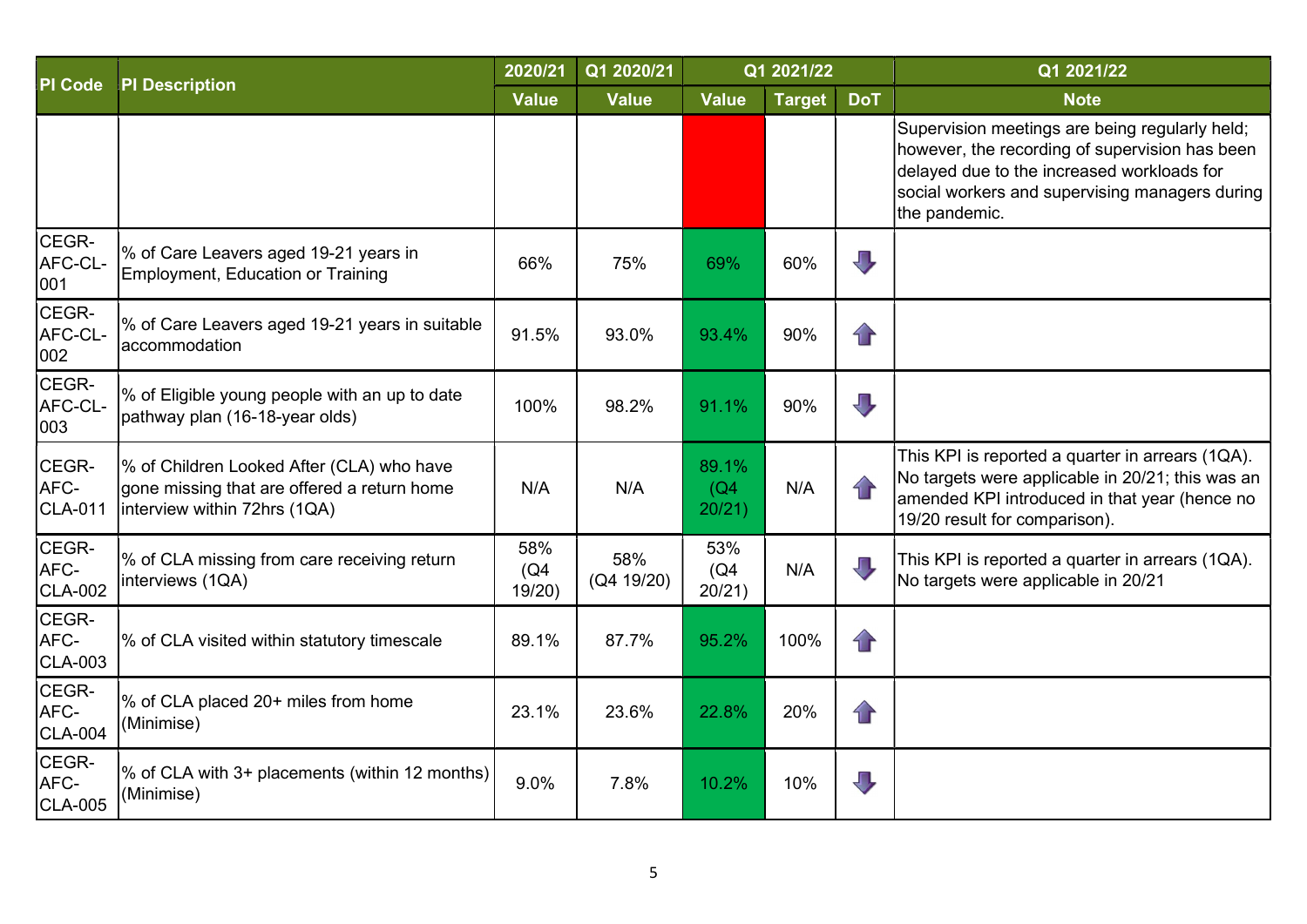| <b>PI Code</b>                  | <b>PI Description</b>                                                                                                    | 2020/21              | Q1 2020/21        |                         | Q1 2021/22    |                         | Q1 2021/22                                                                                                                                                                                                        |
|---------------------------------|--------------------------------------------------------------------------------------------------------------------------|----------------------|-------------------|-------------------------|---------------|-------------------------|-------------------------------------------------------------------------------------------------------------------------------------------------------------------------------------------------------------------|
|                                 |                                                                                                                          |                      | <b>Value</b>      | <b>Value</b>            | <b>Target</b> | <b>DoT</b>              | <b>Note</b>                                                                                                                                                                                                       |
|                                 |                                                                                                                          |                      |                   |                         |               |                         | Supervision meetings are being regularly held;<br>however, the recording of supervision has been<br>delayed due to the increased workloads for<br>social workers and supervising managers during<br>the pandemic. |
| CEGR-<br>AFC-CL-<br>001         | % of Care Leavers aged 19-21 years in<br>Employment, Education or Training                                               | 66%                  | 75%               | 69%                     | 60%           | $\overline{\mathbf{U}}$ |                                                                                                                                                                                                                   |
| CEGR-<br>AFC-CL-<br>002         | % of Care Leavers aged 19-21 years in suitable<br>laccommodation                                                         | 91.5%                | 93.0%             | 93.4%                   | 90%           | $\mathbf{r}$            |                                                                                                                                                                                                                   |
| CEGR-<br>AFC-CL-<br>003         | % of Eligible young people with an up to date<br>pathway plan (16-18-year olds)                                          | 100%                 | 98.2%             | 91.1%                   | 90%           | $\overline{\mathbb{L}}$ |                                                                                                                                                                                                                   |
| CEGR-<br>AFC-<br><b>CLA-011</b> | % of Children Looked After (CLA) who have<br>gone missing that are offered a return home<br>interview within 72hrs (1QA) | N/A                  | N/A               | 89.1%<br>(Q4)<br>20/21) | N/A           | $\bigcap$               | This KPI is reported a quarter in arrears (1QA).<br>No targets were applicable in 20/21; this was an<br>amended KPI introduced in that year (hence no<br>19/20 result for comparison).                            |
| CEGR-<br>AFC-<br><b>CLA-002</b> | % of CLA missing from care receiving return<br>interviews (1QA)                                                          | 58%<br>(Q4)<br>19/20 | 58%<br>(Q4 19/20) | 53%<br>(Q4)<br>20/21)   | N/A           | $\blacksquare$          | This KPI is reported a quarter in arrears (1QA).<br>No targets were applicable in 20/21                                                                                                                           |
| CEGR-<br>AFC-<br><b>CLA-003</b> | % of CLA visited within statutory timescale                                                                              | 89.1%                | 87.7%             | 95.2%                   | 100%          | $\mathbf{r}$            |                                                                                                                                                                                                                   |
| CEGR-<br>AFC-<br><b>CLA-004</b> | % of CLA placed 20+ miles from home<br>(Minimise)                                                                        | 23.1%                | 23.6%             | 22.8%                   | 20%           | $\mathbf{r}$            |                                                                                                                                                                                                                   |
| CEGR-<br>AFC-<br><b>CLA-005</b> | % of CLA with 3+ placements (within 12 months)<br>(Minimise)                                                             | 9.0%                 | 7.8%              | 10.2%                   | 10%           | $\overline{\mathbb{U}}$ |                                                                                                                                                                                                                   |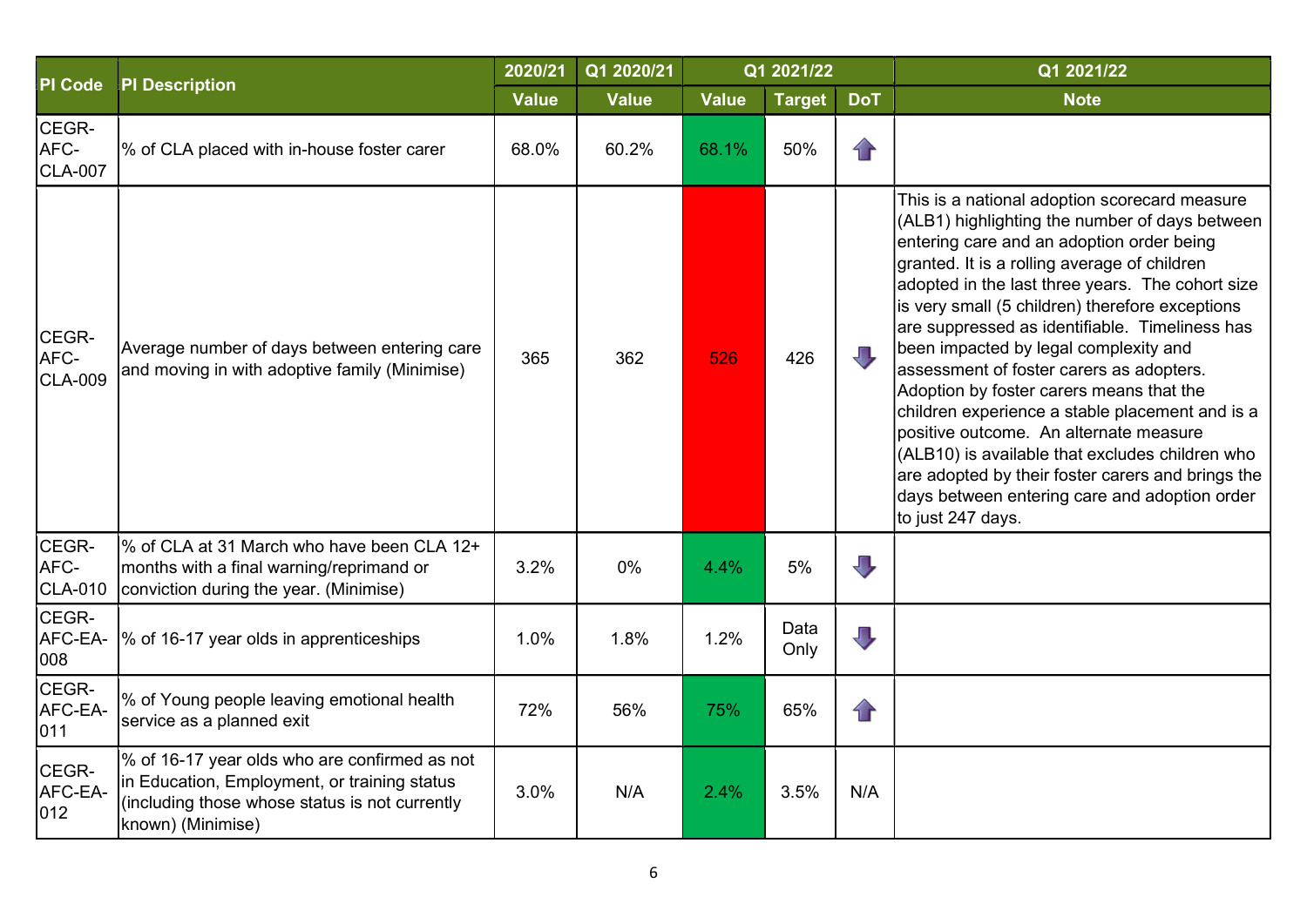| <b>PI Code</b>                  | <b>PI Description</b>                                                                                                                                                | 2020/21      | Q1 2020/21   |              | Q1 2021/22    |                         | Q1 2021/22                                                                                                                                                                                                                                                                                                                                                                                                                                                                                                                                                                                                                                                                                                                                                        |
|---------------------------------|----------------------------------------------------------------------------------------------------------------------------------------------------------------------|--------------|--------------|--------------|---------------|-------------------------|-------------------------------------------------------------------------------------------------------------------------------------------------------------------------------------------------------------------------------------------------------------------------------------------------------------------------------------------------------------------------------------------------------------------------------------------------------------------------------------------------------------------------------------------------------------------------------------------------------------------------------------------------------------------------------------------------------------------------------------------------------------------|
|                                 |                                                                                                                                                                      | <b>Value</b> | <b>Value</b> | <b>Value</b> | <b>Target</b> | <b>DoT</b>              | <b>Note</b>                                                                                                                                                                                                                                                                                                                                                                                                                                                                                                                                                                                                                                                                                                                                                       |
| CEGR-<br>AFC-<br><b>CLA-007</b> | % of CLA placed with in-house foster carer                                                                                                                           | 68.0%        | 60.2%        | 68.1%        | 50%           | $\bigcap$               |                                                                                                                                                                                                                                                                                                                                                                                                                                                                                                                                                                                                                                                                                                                                                                   |
| CEGR-<br>AFC-<br><b>CLA-009</b> | Average number of days between entering care<br>and moving in with adoptive family (Minimise)                                                                        | 365          | 362          | 526          | 426           | ЛĻ                      | This is a national adoption scorecard measure<br>(ALB1) highlighting the number of days between<br>entering care and an adoption order being<br>granted. It is a rolling average of children<br>adopted in the last three years. The cohort size<br>is very small (5 children) therefore exceptions<br>are suppressed as identifiable. Timeliness has<br>been impacted by legal complexity and<br>assessment of foster carers as adopters.<br>Adoption by foster carers means that the<br>children experience a stable placement and is a<br>positive outcome. An alternate measure<br>(ALB10) is available that excludes children who<br>are adopted by their foster carers and brings the<br>days between entering care and adoption order<br>to just 247 days. |
| CEGR-<br>AFC-<br><b>CLA-010</b> | % of CLA at 31 March who have been CLA 12+<br>months with a final warning/reprimand or<br>conviction during the year. (Minimise)                                     | 3.2%         | 0%           | 4.4%         | 5%            | $\overline{\mathbb{U}}$ |                                                                                                                                                                                                                                                                                                                                                                                                                                                                                                                                                                                                                                                                                                                                                                   |
| CEGR-<br>AFC-EA-<br>008         | % of 16-17 year olds in apprenticeships                                                                                                                              | 1.0%         | 1.8%         | 1.2%         | Data<br>Only  | $\overline{\mathbb{L}}$ |                                                                                                                                                                                                                                                                                                                                                                                                                                                                                                                                                                                                                                                                                                                                                                   |
| CEGR-<br>AFC-EA-<br>011         | % of Young people leaving emotional health<br>service as a planned exit                                                                                              | 72%          | 56%          | 75%          | 65%           | $\mathbf{f}$            |                                                                                                                                                                                                                                                                                                                                                                                                                                                                                                                                                                                                                                                                                                                                                                   |
| CEGR-<br>AFC-EA-<br>012         | % of 16-17 year olds who are confirmed as not<br>in Education, Employment, or training status<br>(including those whose status is not currently<br>known) (Minimise) | 3.0%         | N/A          | 2.4%         | 3.5%          | N/A                     |                                                                                                                                                                                                                                                                                                                                                                                                                                                                                                                                                                                                                                                                                                                                                                   |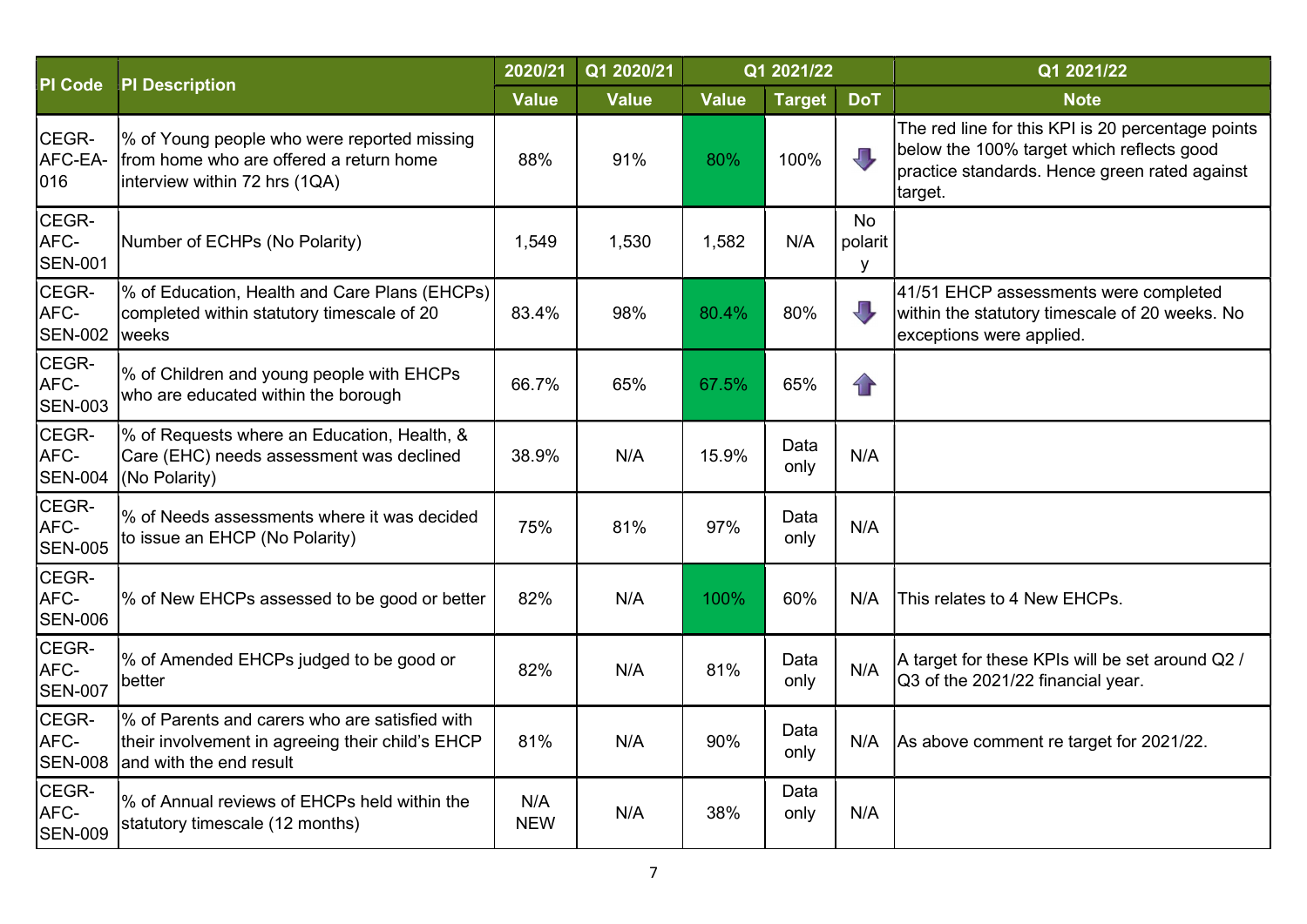|                                 |                                                                                                                               | 2020/21           | Q1 2020/21   |              | Q1 2021/22    |                           | Q1 2021/22                                                                                                                                                 |
|---------------------------------|-------------------------------------------------------------------------------------------------------------------------------|-------------------|--------------|--------------|---------------|---------------------------|------------------------------------------------------------------------------------------------------------------------------------------------------------|
| <b>PI Code</b>                  | <b>PI Description</b>                                                                                                         | <b>Value</b>      | <b>Value</b> | <b>Value</b> | <b>Target</b> | <b>DoT</b>                | <b>Note</b>                                                                                                                                                |
| CEGR-<br>AFC-EA-<br>016         | % of Young people who were reported missing<br>Ifrom home who are offered a return home<br>interview within 72 hrs (1QA)      | 88%               | 91%          | 80%          | 100%          | JЦ                        | The red line for this KPI is 20 percentage points<br>below the 100% target which reflects good<br>practice standards. Hence green rated against<br>target. |
| CEGR-<br>AFC-<br><b>SEN-001</b> | Number of ECHPs (No Polarity)                                                                                                 | 1,549             | 1,530        | 1,582        | N/A           | <b>No</b><br>polarit<br>У |                                                                                                                                                            |
| CEGR-<br>AFC-<br><b>SEN-002</b> | % of Education, Health and Care Plans (EHCPs)<br>completed within statutory timescale of 20<br>weeks                          | 83.4%             | 98%          | 80.4%        | 80%           | $\Box$                    | 41/51 EHCP assessments were completed<br>within the statutory timescale of 20 weeks. No<br>exceptions were applied.                                        |
| CEGR-<br>AFC-<br><b>SEN-003</b> | % of Children and young people with EHCPs<br>who are educated within the borough                                              | 66.7%             | 65%          | 67.5%        | 65%           | $\mathbf{r}$              |                                                                                                                                                            |
| CEGR-<br>AFC-<br><b>SEN-004</b> | % of Requests where an Education, Health, &<br>Care (EHC) needs assessment was declined<br>(No Polarity)                      | 38.9%             | N/A          | 15.9%        | Data<br>only  | N/A                       |                                                                                                                                                            |
| CEGR-<br>AFC-<br><b>SEN-005</b> | % of Needs assessments where it was decided<br>to issue an EHCP (No Polarity)                                                 | 75%               | 81%          | 97%          | Data<br>only  | N/A                       |                                                                                                                                                            |
| CEGR-<br>AFC-<br><b>SEN-006</b> | % of New EHCPs assessed to be good or better                                                                                  | 82%               | N/A          | 100%         | 60%           | N/A                       | This relates to 4 New EHCPs.                                                                                                                               |
| CEGR-<br>AFC-<br><b>SEN-007</b> | % of Amended EHCPs judged to be good or<br>better                                                                             | 82%               | N/A          | 81%          | Data<br>only  | N/A                       | A target for these KPIs will be set around Q2 /<br>Q3 of the 2021/22 financial year.                                                                       |
| CEGR-<br>AFC-<br><b>SEN-008</b> | % of Parents and carers who are satisfied with<br>their involvement in agreeing their child's EHCP<br>and with the end result | 81%               | N/A          | 90%          | Data<br>only  | N/A                       | As above comment re target for 2021/22.                                                                                                                    |
| CEGR-<br>AFC-<br><b>SEN-009</b> | % of Annual reviews of EHCPs held within the<br>statutory timescale (12 months)                                               | N/A<br><b>NEW</b> | N/A          | 38%          | Data<br>only  | N/A                       |                                                                                                                                                            |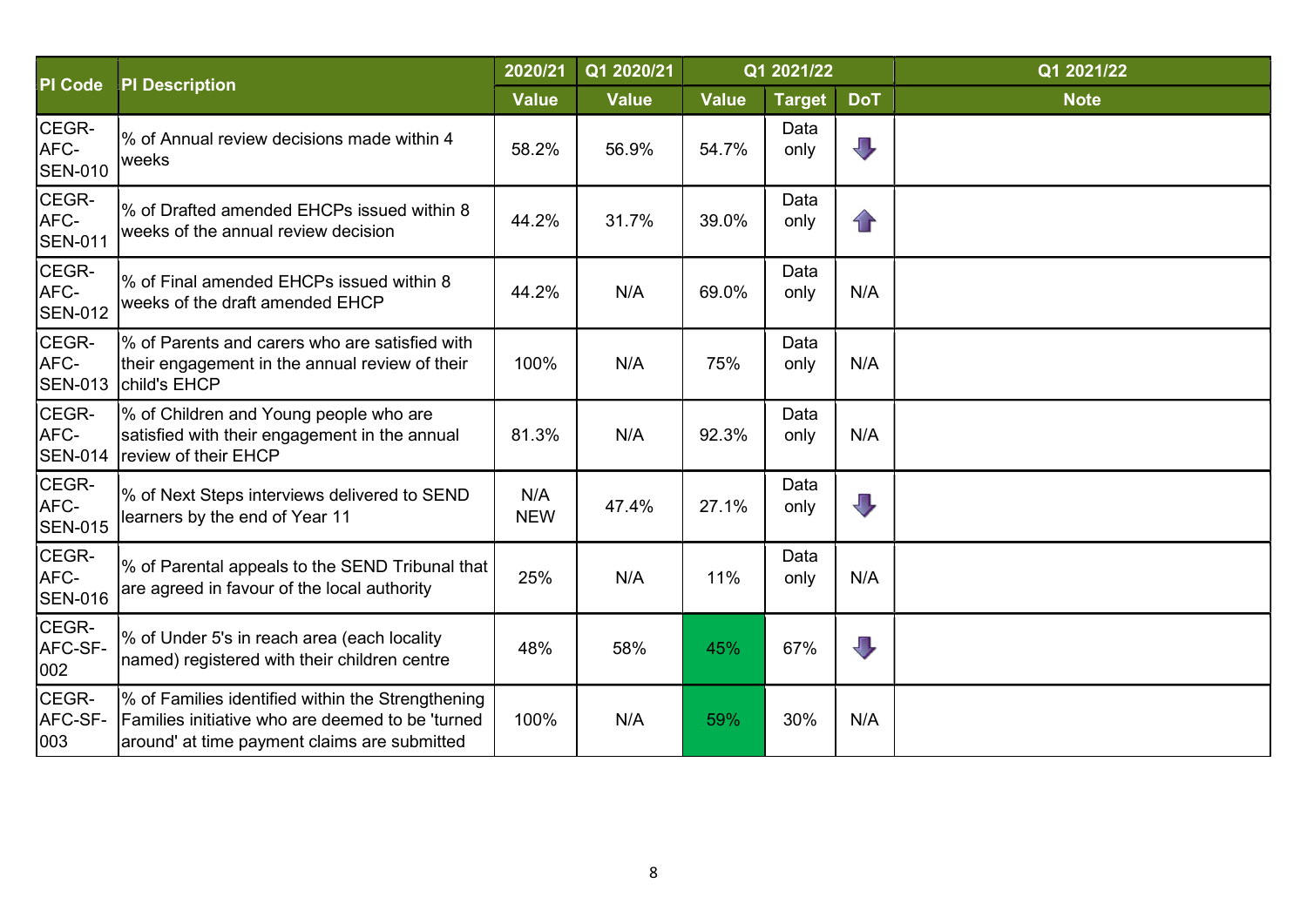|                                 |                                                                                                                                                       | 2020/21           | Q1 2020/21   |              | Q1 2021/22    |                          | Q1 2021/22  |
|---------------------------------|-------------------------------------------------------------------------------------------------------------------------------------------------------|-------------------|--------------|--------------|---------------|--------------------------|-------------|
| PI Code                         | <b>PI Description</b>                                                                                                                                 | <b>Value</b>      | <b>Value</b> | <b>Value</b> | <b>Target</b> | <b>DoT</b>               | <b>Note</b> |
| CEGR-<br>AFC-<br><b>SEN-010</b> | % of Annual review decisions made within 4<br>weeks                                                                                                   | 58.2%             | 56.9%        | 54.7%        | Data<br>only  | $\overline{\mathbf{u}}$  |             |
| CEGR-<br>AFC-<br><b>SEN-011</b> | % of Drafted amended EHCPs issued within 8<br>weeks of the annual review decision                                                                     | 44.2%             | 31.7%        | 39.0%        | Data<br>only  | $\mathbf{r}$             |             |
| CEGR-<br>AFC-<br><b>SEN-012</b> | % of Final amended EHCPs issued within 8<br>weeks of the draft amended EHCP                                                                           | 44.2%             | N/A          | 69.0%        | Data<br>only  | N/A                      |             |
| CEGR-<br>AFC-<br><b>SEN-013</b> | % of Parents and carers who are satisfied with<br>their engagement in the annual review of their<br>child's EHCP                                      | 100%              | N/A          | 75%          | Data<br>only  | N/A                      |             |
| CEGR-<br>AFC-<br><b>SEN-014</b> | % of Children and Young people who are<br>satisfied with their engagement in the annual<br>review of their EHCP                                       | 81.3%             | N/A          | 92.3%        | Data<br>only  | N/A                      |             |
| CEGR-<br>AFC-<br><b>SEN-015</b> | % of Next Steps interviews delivered to SEND<br>learners by the end of Year 11                                                                        | N/A<br><b>NEW</b> | 47.4%        | 27.1%        | Data<br>only  | $\mathbf{\mathbf{\Psi}}$ |             |
| CEGR-<br>AFC-<br><b>SEN-016</b> | % of Parental appeals to the SEND Tribunal that<br>are agreed in favour of the local authority                                                        | 25%               | N/A          | 11%          | Data<br>only  | N/A                      |             |
| CEGR-<br>AFC-SF-<br>002         | % of Under 5's in reach area (each locality<br>named) registered with their children centre                                                           | 48%               | 58%          | 45%          | 67%           | $\overline{\mathbb{J}}$  |             |
| CEGR-<br>AFC-SF-<br>003         | % of Families identified within the Strengthening<br>Families initiative who are deemed to be 'turned<br>around' at time payment claims are submitted | 100%              | N/A          | 59%          | 30%           | N/A                      |             |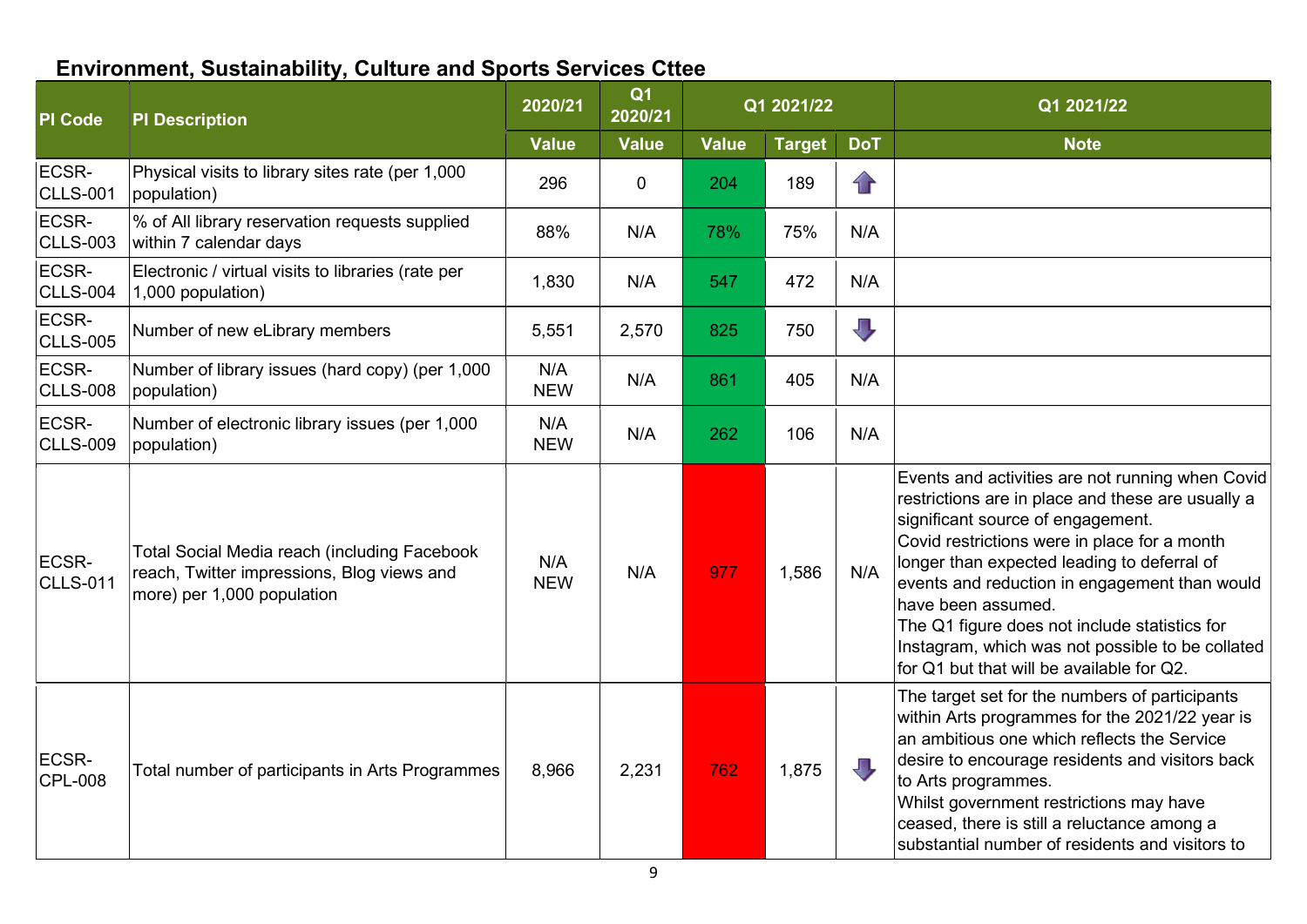## Environment, Sustainability, Culture and Sports Services Cttee

| <b>PI</b> Code           | <b>PI Description</b>                                                                                                           | 2020/21           | Q <sub>1</sub><br>2020/21 |              | Q1 2021/22    |                         | Q1 2021/22                                                                                                                                                                                                                                                                                                                                                                                                                                                         |
|--------------------------|---------------------------------------------------------------------------------------------------------------------------------|-------------------|---------------------------|--------------|---------------|-------------------------|--------------------------------------------------------------------------------------------------------------------------------------------------------------------------------------------------------------------------------------------------------------------------------------------------------------------------------------------------------------------------------------------------------------------------------------------------------------------|
|                          |                                                                                                                                 | <b>Value</b>      | <b>Value</b>              | <b>Value</b> | <b>Target</b> | <b>DoT</b>              | <b>Note</b>                                                                                                                                                                                                                                                                                                                                                                                                                                                        |
| ECSR-<br><b>CLLS-001</b> | Physical visits to library sites rate (per 1,000<br>population)                                                                 | 296               | $\mathbf 0$               | 204          | 189           | $\mathbf{r}$            |                                                                                                                                                                                                                                                                                                                                                                                                                                                                    |
| ECSR-<br><b>CLLS-003</b> | % of All library reservation requests supplied<br>within 7 calendar days                                                        | 88%               | N/A                       | 78%          | 75%           | N/A                     |                                                                                                                                                                                                                                                                                                                                                                                                                                                                    |
| ECSR-<br><b>CLLS-004</b> | Electronic / virtual visits to libraries (rate per<br>1,000 population)                                                         | 1,830             | N/A                       | 547          | 472           | N/A                     |                                                                                                                                                                                                                                                                                                                                                                                                                                                                    |
| ECSR-<br><b>CLLS-005</b> | Number of new eLibrary members                                                                                                  | 5,551             | 2,570                     | 825          | 750           | $\overline{\mathbb{U}}$ |                                                                                                                                                                                                                                                                                                                                                                                                                                                                    |
| ECSR-<br><b>CLLS-008</b> | Number of library issues (hard copy) (per 1,000<br>population)                                                                  | N/A<br><b>NEW</b> | N/A                       | 861          | 405           | N/A                     |                                                                                                                                                                                                                                                                                                                                                                                                                                                                    |
| ECSR-<br><b>CLLS-009</b> | Number of electronic library issues (per 1,000<br>population)                                                                   | N/A<br><b>NEW</b> | N/A                       | 262          | 106           | N/A                     |                                                                                                                                                                                                                                                                                                                                                                                                                                                                    |
| ECSR-<br><b>CLLS-011</b> | <b>Total Social Media reach (including Facebook</b><br>reach, Twitter impressions, Blog views and<br>more) per 1,000 population | N/A<br><b>NEW</b> | N/A                       | 977          | 1,586         | N/A                     | Events and activities are not running when Covid<br>restrictions are in place and these are usually a<br>significant source of engagement.<br>Covid restrictions were in place for a month<br>longer than expected leading to deferral of<br>events and reduction in engagement than would<br>have been assumed.<br>The Q1 figure does not include statistics for<br>Instagram, which was not possible to be collated<br>for Q1 but that will be available for Q2. |
| ECSR-<br><b>CPL-008</b>  | Total number of participants in Arts Programmes                                                                                 | 8,966             | 2,231                     | 762          | 1,875         | JП,                     | The target set for the numbers of participants<br>within Arts programmes for the 2021/22 year is<br>an ambitious one which reflects the Service<br>desire to encourage residents and visitors back<br>to Arts programmes.<br>Whilst government restrictions may have<br>ceased, there is still a reluctance among a<br>substantial number of residents and visitors to                                                                                             |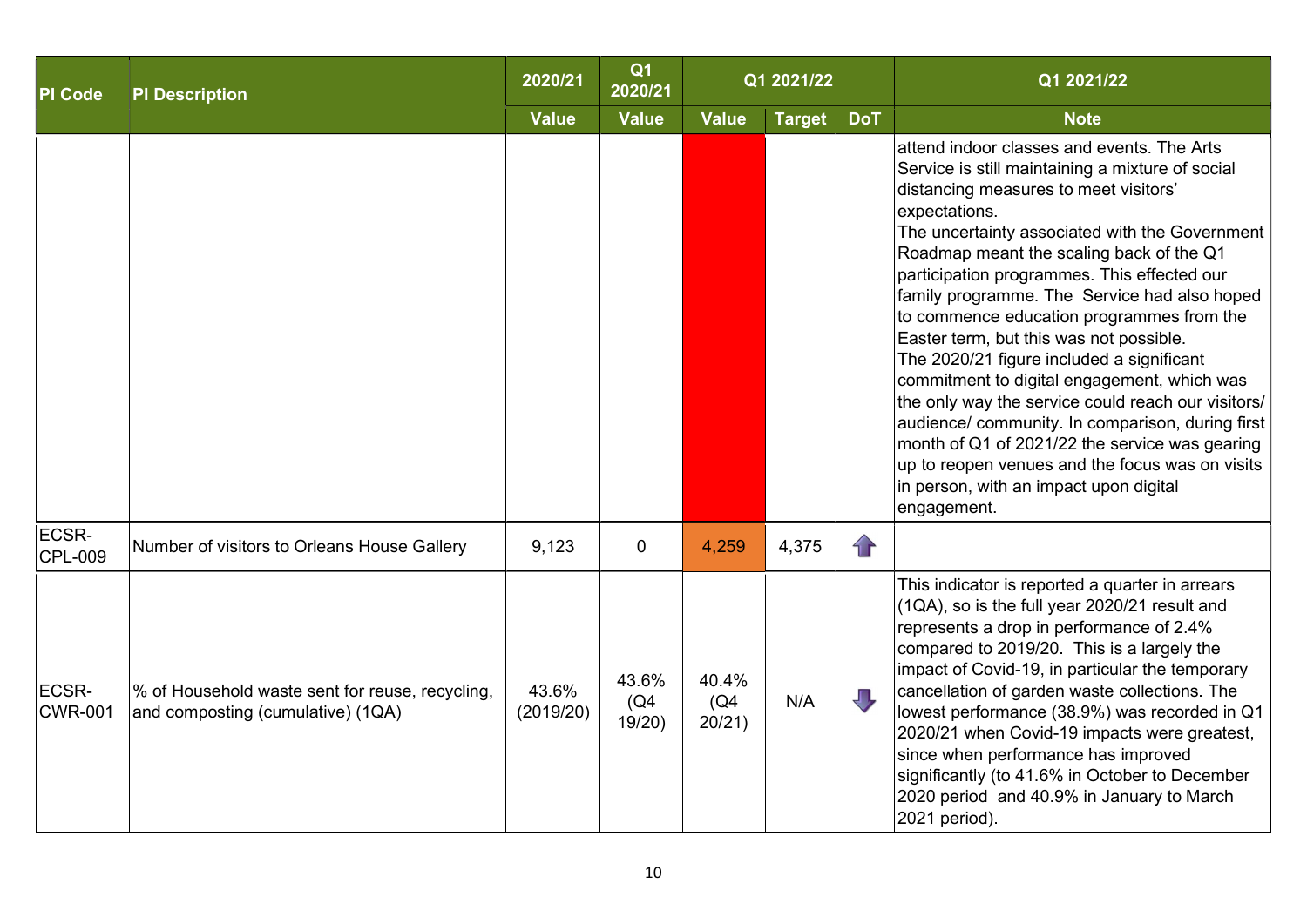| <b>PI Code</b>          | <b>PI Description</b>                                                                | 2020/21            | Q <sub>1</sub><br>2020/21 |                         | Q1 2021/22    |            | Q1 2021/22                                                                                                                                                                                                                                                                                                                                                                                                                                                                                                                                                                                                                                                                                                                                                                                                        |
|-------------------------|--------------------------------------------------------------------------------------|--------------------|---------------------------|-------------------------|---------------|------------|-------------------------------------------------------------------------------------------------------------------------------------------------------------------------------------------------------------------------------------------------------------------------------------------------------------------------------------------------------------------------------------------------------------------------------------------------------------------------------------------------------------------------------------------------------------------------------------------------------------------------------------------------------------------------------------------------------------------------------------------------------------------------------------------------------------------|
|                         |                                                                                      | <b>Value</b>       | <b>Value</b>              | <b>Value</b>            | <b>Target</b> | <b>DoT</b> | <b>Note</b>                                                                                                                                                                                                                                                                                                                                                                                                                                                                                                                                                                                                                                                                                                                                                                                                       |
|                         |                                                                                      |                    |                           |                         |               |            | attend indoor classes and events. The Arts<br>Service is still maintaining a mixture of social<br>distancing measures to meet visitors'<br>expectations.<br>The uncertainty associated with the Government<br>Roadmap meant the scaling back of the Q1<br>participation programmes. This effected our<br>family programme. The Service had also hoped<br>to commence education programmes from the<br>Easter term, but this was not possible.<br>The 2020/21 figure included a significant<br>commitment to digital engagement, which was<br>the only way the service could reach our visitors/<br>audience/ community. In comparison, during first<br>month of Q1 of 2021/22 the service was gearing<br>up to reopen venues and the focus was on visits<br>in person, with an impact upon digital<br>engagement. |
| ECSR-<br><b>CPL-009</b> | Number of visitors to Orleans House Gallery                                          | 9,123              | $\mathbf 0$               | 4,259                   | 4,375         | $\bigcap$  |                                                                                                                                                                                                                                                                                                                                                                                                                                                                                                                                                                                                                                                                                                                                                                                                                   |
| ECSR-<br><b>CWR-001</b> | % of Household waste sent for reuse, recycling,<br>and composting (cumulative) (1QA) | 43.6%<br>(2019/20) | 43.6%<br>(Q4)<br>19/20    | 40.4%<br>(Q4)<br>20/21) | N/A           | Д          | This indicator is reported a quarter in arrears<br>(1QA), so is the full year 2020/21 result and<br>represents a drop in performance of 2.4%<br>compared to 2019/20. This is a largely the<br>impact of Covid-19, in particular the temporary<br>cancellation of garden waste collections. The<br>lowest performance (38.9%) was recorded in Q1<br>2020/21 when Covid-19 impacts were greatest,<br>since when performance has improved<br>significantly (to 41.6% in October to December<br>2020 period and 40.9% in January to March<br>2021 period).                                                                                                                                                                                                                                                            |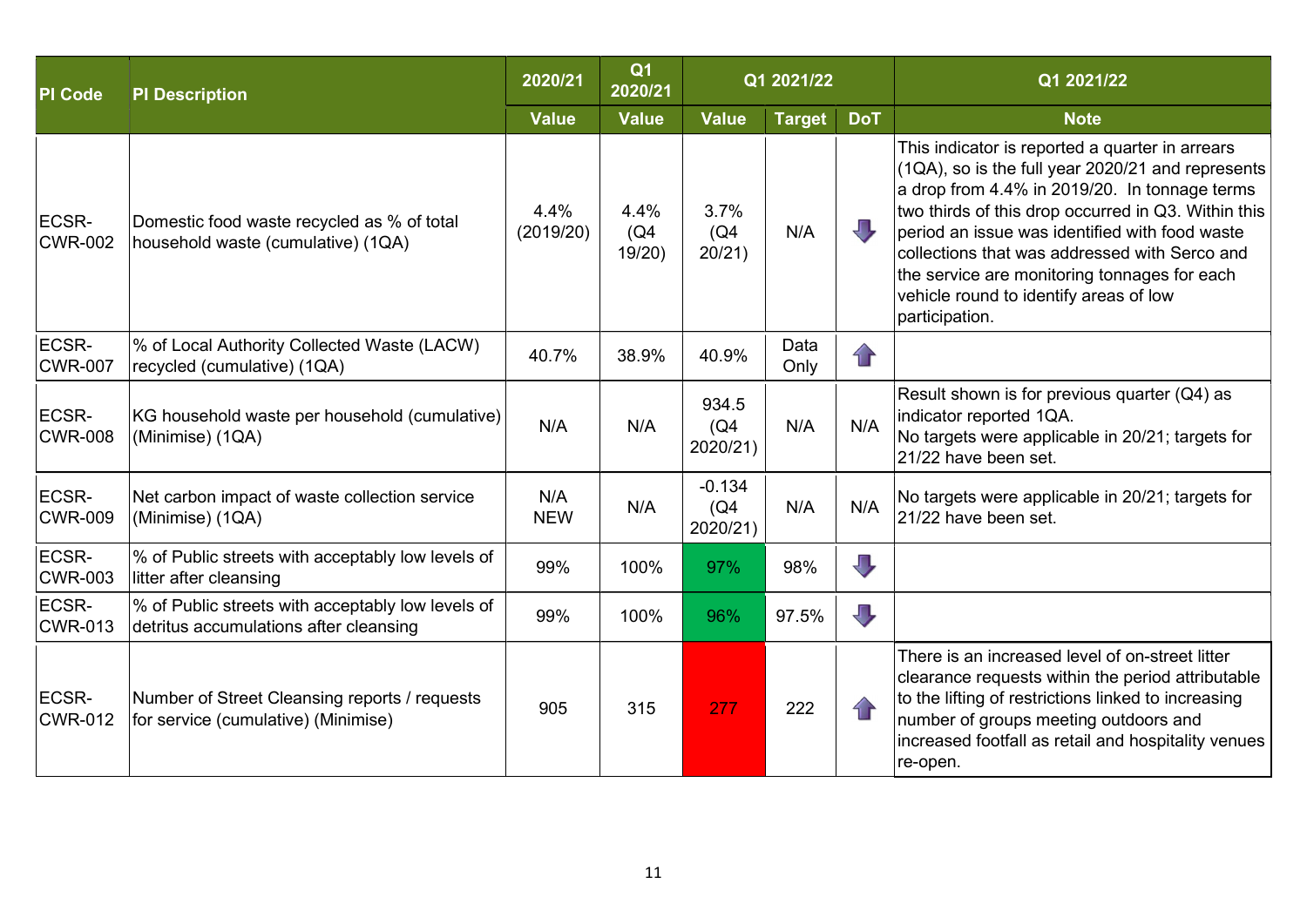| <b>PI</b> Code          | <b>PI Description</b>                                                                       | 2020/21           | Q <sub>1</sub><br>2020/21 |                              | Q1 2021/22    |                         | Q1 2021/22                                                                                                                                                                                                                                                                                                                                                                                                                     |
|-------------------------|---------------------------------------------------------------------------------------------|-------------------|---------------------------|------------------------------|---------------|-------------------------|--------------------------------------------------------------------------------------------------------------------------------------------------------------------------------------------------------------------------------------------------------------------------------------------------------------------------------------------------------------------------------------------------------------------------------|
|                         |                                                                                             | <b>Value</b>      | <b>Value</b>              | <b>Value</b>                 | <b>Target</b> | <b>DoT</b>              | <b>Note</b>                                                                                                                                                                                                                                                                                                                                                                                                                    |
| ECSR-<br><b>CWR-002</b> | Domestic food waste recycled as % of total<br>household waste (cumulative) (1QA)            | 4.4%<br>(2019/20) | 4.4%<br>(Q4)<br>19/20     | 3.7%<br>(Q4)<br>20/21)       | N/A           | JL                      | This indicator is reported a quarter in arrears<br>$(1QA)$ , so is the full year 2020/21 and represents<br>a drop from 4.4% in 2019/20. In tonnage terms<br>two thirds of this drop occurred in Q3. Within this<br>period an issue was identified with food waste<br>collections that was addressed with Serco and<br>the service are monitoring tonnages for each<br>vehicle round to identify areas of low<br>participation. |
| ECSR-<br><b>CWR-007</b> | % of Local Authority Collected Waste (LACW)<br>recycled (cumulative) (1QA)                  | 40.7%             | 38.9%                     | 40.9%                        | Data<br>Only  | $\mathbf{r}$            |                                                                                                                                                                                                                                                                                                                                                                                                                                |
| ECSR-<br><b>CWR-008</b> | KG household waste per household (cumulative)<br>(Minimise) (1QA)                           | N/A               | N/A                       | 934.5<br>(Q4)<br>2020/21)    | N/A           | N/A                     | Result shown is for previous quarter (Q4) as<br>indicator reported 1QA.<br>No targets were applicable in 20/21; targets for<br>21/22 have been set.                                                                                                                                                                                                                                                                            |
| ECSR-<br><b>CWR-009</b> | Net carbon impact of waste collection service<br>(Minimise) (1QA)                           | N/A<br><b>NEW</b> | N/A                       | $-0.134$<br>(Q4)<br>2020/21) | N/A           | N/A                     | No targets were applicable in 20/21; targets for<br>21/22 have been set.                                                                                                                                                                                                                                                                                                                                                       |
| ECSR-<br><b>CWR-003</b> | % of Public streets with acceptably low levels of<br>litter after cleansing                 | 99%               | 100%                      | 97%                          | 98%           | $\overline{\mathbb{U}}$ |                                                                                                                                                                                                                                                                                                                                                                                                                                |
| ECSR-<br><b>CWR-013</b> | % of Public streets with acceptably low levels of<br>detritus accumulations after cleansing | 99%               | 100%                      | 96%                          | 97.5%         | $\overline{\mathbb{U}}$ |                                                                                                                                                                                                                                                                                                                                                                                                                                |
| ECSR-<br><b>CWR-012</b> | Number of Street Cleansing reports / requests<br>for service (cumulative) (Minimise)        | 905               | 315                       | 277                          | 222           | $\bigcap$               | There is an increased level of on-street litter<br>clearance requests within the period attributable<br>to the lifting of restrictions linked to increasing<br>number of groups meeting outdoors and<br>increased footfall as retail and hospitality venues<br>re-open.                                                                                                                                                        |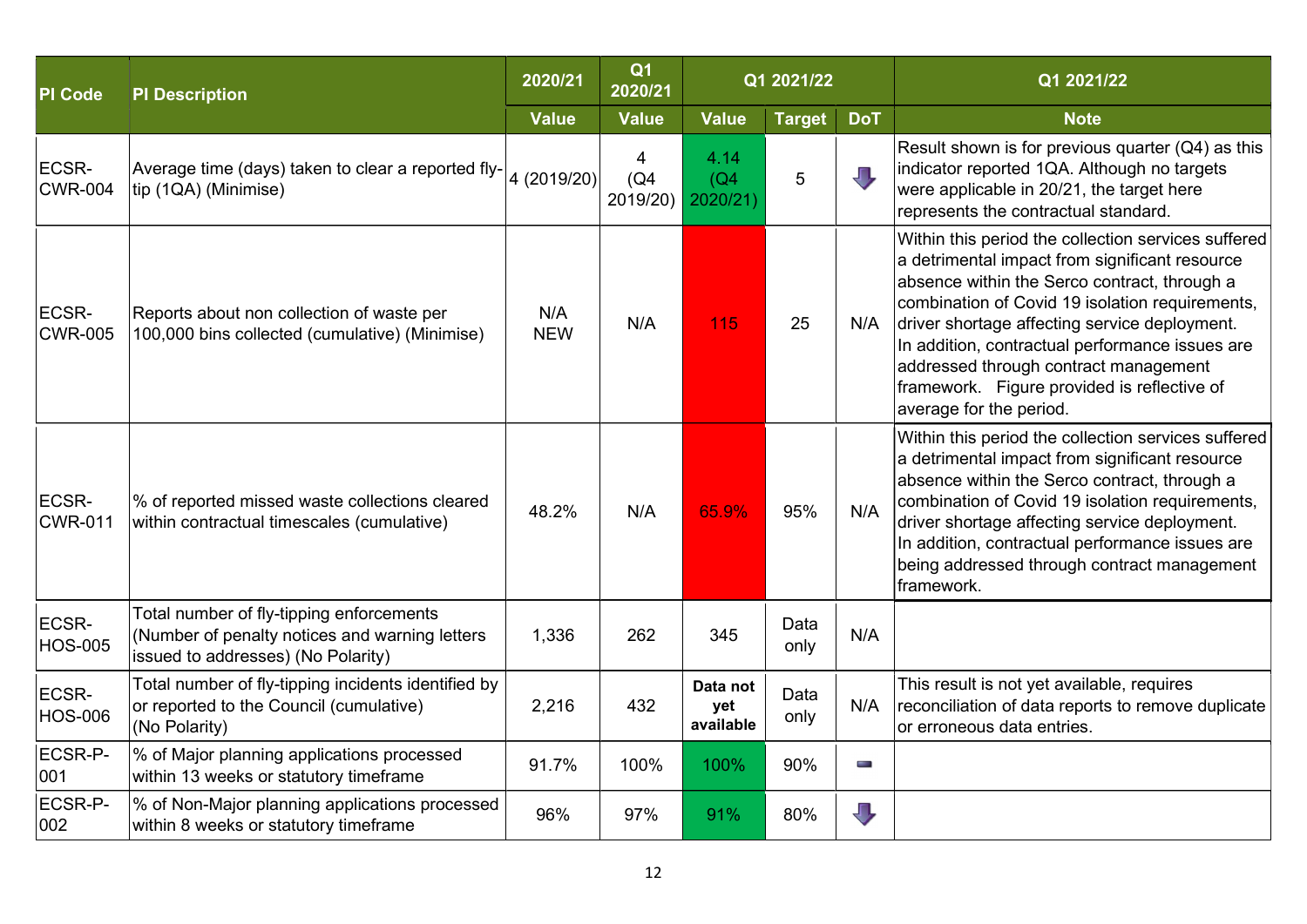| <b>PI</b> Code          | <b>PI Description</b>                                                                                                            | 2020/21           | Q <sub>1</sub><br>2020/21 |                              | Q1 2021/22    |                         | Q1 2021/22                                                                                                                                                                                                                                                                                                                                                                                                                      |
|-------------------------|----------------------------------------------------------------------------------------------------------------------------------|-------------------|---------------------------|------------------------------|---------------|-------------------------|---------------------------------------------------------------------------------------------------------------------------------------------------------------------------------------------------------------------------------------------------------------------------------------------------------------------------------------------------------------------------------------------------------------------------------|
|                         |                                                                                                                                  | <b>Value</b>      | <b>Value</b>              | <b>Value</b>                 | <b>Target</b> | <b>DoT</b>              | <b>Note</b>                                                                                                                                                                                                                                                                                                                                                                                                                     |
| ECSR-<br><b>CWR-004</b> | Average time (days) taken to clear a reported fly- $\left 4\right\rangle (2019/20)\right $<br>tip (1QA) (Minimise)               |                   | 4<br>(Q4)<br>2019/20)     | 4.14<br>(Q4)<br>2020/21)     | 5             | J,                      | Result shown is for previous quarter $(Q4)$ as this<br>indicator reported 1QA. Although no targets<br>were applicable in 20/21, the target here<br>represents the contractual standard.                                                                                                                                                                                                                                         |
| ECSR-<br><b>CWR-005</b> | Reports about non collection of waste per<br>100,000 bins collected (cumulative) (Minimise)                                      | N/A<br><b>NEW</b> | N/A                       | 115                          | 25            | N/A                     | Within this period the collection services suffered<br>a detrimental impact from significant resource<br>absence within the Serco contract, through a<br>combination of Covid 19 isolation requirements,<br>driver shortage affecting service deployment.<br>In addition, contractual performance issues are<br>addressed through contract management<br>framework. Figure provided is reflective of<br>average for the period. |
| ECSR-<br><b>CWR-011</b> | % of reported missed waste collections cleared<br>within contractual timescales (cumulative)                                     | 48.2%             | N/A                       | 65.9%                        | 95%           | N/A                     | Within this period the collection services suffered<br>a detrimental impact from significant resource<br>absence within the Serco contract, through a<br>combination of Covid 19 isolation requirements,<br>driver shortage affecting service deployment.<br>In addition, contractual performance issues are<br>being addressed through contract management<br>framework.                                                       |
| ECSR-<br><b>HOS-005</b> | Total number of fly-tipping enforcements<br>(Number of penalty notices and warning letters<br>issued to addresses) (No Polarity) | 1,336             | 262                       | 345                          | Data<br>only  | N/A                     |                                                                                                                                                                                                                                                                                                                                                                                                                                 |
| ECSR-<br><b>HOS-006</b> | Total number of fly-tipping incidents identified by<br>or reported to the Council (cumulative)<br>(No Polarity)                  | 2,216             | 432                       | Data not<br>yet<br>available | Data<br>only  | N/A                     | This result is not yet available, requires<br>reconciliation of data reports to remove duplicate<br>or erroneous data entries.                                                                                                                                                                                                                                                                                                  |
| ECSR-P-<br>001          | % of Major planning applications processed<br>within 13 weeks or statutory timeframe                                             | 91.7%             | 100%                      | 100%                         | 90%           | <b>COLLEGE</b>          |                                                                                                                                                                                                                                                                                                                                                                                                                                 |
| ECSR-P-<br>002          | % of Non-Major planning applications processed<br>within 8 weeks or statutory timeframe                                          | 96%               | 97%                       | 91%                          | 80%           | $\overline{\mathbb{U}}$ |                                                                                                                                                                                                                                                                                                                                                                                                                                 |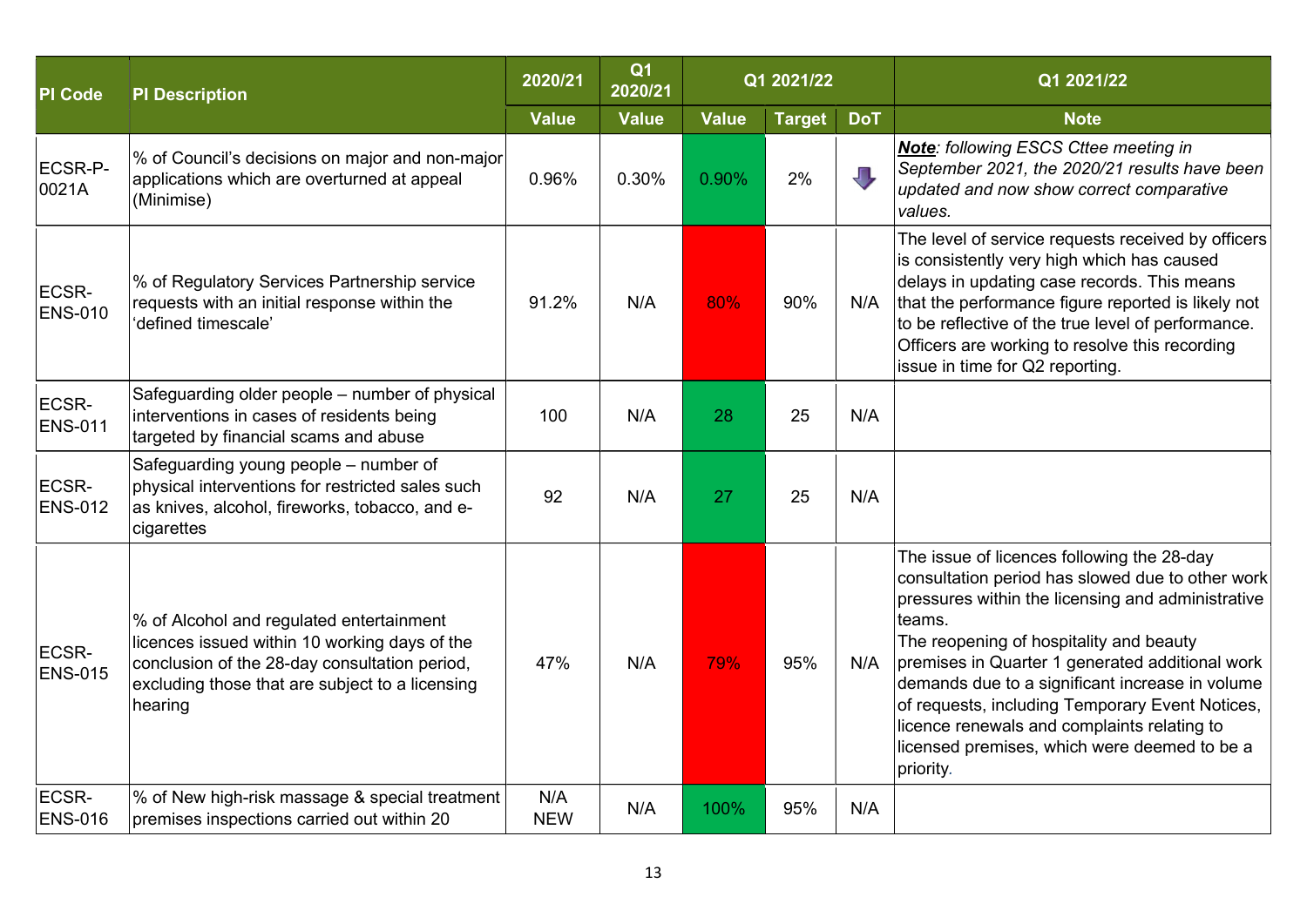| <b>PI</b> Code          | <b>PI Description</b>                                                                                                                                                                                    | 2020/21           | Q <sub>1</sub><br>2020/21 |              | Q1 2021/22    |            | Q1 2021/22                                                                                                                                                                                                                                                                                                                                                                                                                                                                    |
|-------------------------|----------------------------------------------------------------------------------------------------------------------------------------------------------------------------------------------------------|-------------------|---------------------------|--------------|---------------|------------|-------------------------------------------------------------------------------------------------------------------------------------------------------------------------------------------------------------------------------------------------------------------------------------------------------------------------------------------------------------------------------------------------------------------------------------------------------------------------------|
|                         |                                                                                                                                                                                                          | <b>Value</b>      | <b>Value</b>              | <b>Value</b> | <b>Target</b> | <b>DoT</b> | <b>Note</b>                                                                                                                                                                                                                                                                                                                                                                                                                                                                   |
| ECSR-P-<br>0021A        | % of Council's decisions on major and non-major<br>applications which are overturned at appeal<br>(Minimise)                                                                                             | 0.96%             | 0.30%                     | 0.90%        | 2%            | JГ,        | <b>Note:</b> following ESCS Cttee meeting in<br>September 2021, the 2020/21 results have been<br>updated and now show correct comparative<br>values.                                                                                                                                                                                                                                                                                                                          |
| ECSR-<br><b>ENS-010</b> | % of Regulatory Services Partnership service<br>requests with an initial response within the<br>'defined timescale'                                                                                      | 91.2%             | N/A                       | 80%          | 90%           | N/A        | The level of service requests received by officers<br>is consistently very high which has caused<br>delays in updating case records. This means<br>that the performance figure reported is likely not<br>to be reflective of the true level of performance.<br>Officers are working to resolve this recording<br>issue in time for Q2 reporting.                                                                                                                              |
| ECSR-<br><b>ENS-011</b> | Safeguarding older people - number of physical<br>interventions in cases of residents being<br>targeted by financial scams and abuse                                                                     | 100               | N/A                       | 28           | 25            | N/A        |                                                                                                                                                                                                                                                                                                                                                                                                                                                                               |
| ECSR-<br><b>ENS-012</b> | Safeguarding young people – number of<br>physical interventions for restricted sales such<br>as knives, alcohol, fireworks, tobacco, and e-<br>cigarettes                                                | 92                | N/A                       | 27           | 25            | N/A        |                                                                                                                                                                                                                                                                                                                                                                                                                                                                               |
| ECSR-<br><b>ENS-015</b> | % of Alcohol and regulated entertainment<br>licences issued within 10 working days of the<br>conclusion of the 28-day consultation period,<br>excluding those that are subject to a licensing<br>hearing | 47%               | N/A                       | 79%          | 95%           | N/A        | The issue of licences following the 28-day<br>consultation period has slowed due to other work<br>pressures within the licensing and administrative<br>teams.<br>The reopening of hospitality and beauty<br>premises in Quarter 1 generated additional work<br>demands due to a significant increase in volume<br>of requests, including Temporary Event Notices,<br>licence renewals and complaints relating to<br>licensed premises, which were deemed to be a<br>priority. |
| ECSR-<br><b>ENS-016</b> | % of New high-risk massage & special treatment<br>premises inspections carried out within 20                                                                                                             | N/A<br><b>NEW</b> | N/A                       | 100%         | 95%           | N/A        |                                                                                                                                                                                                                                                                                                                                                                                                                                                                               |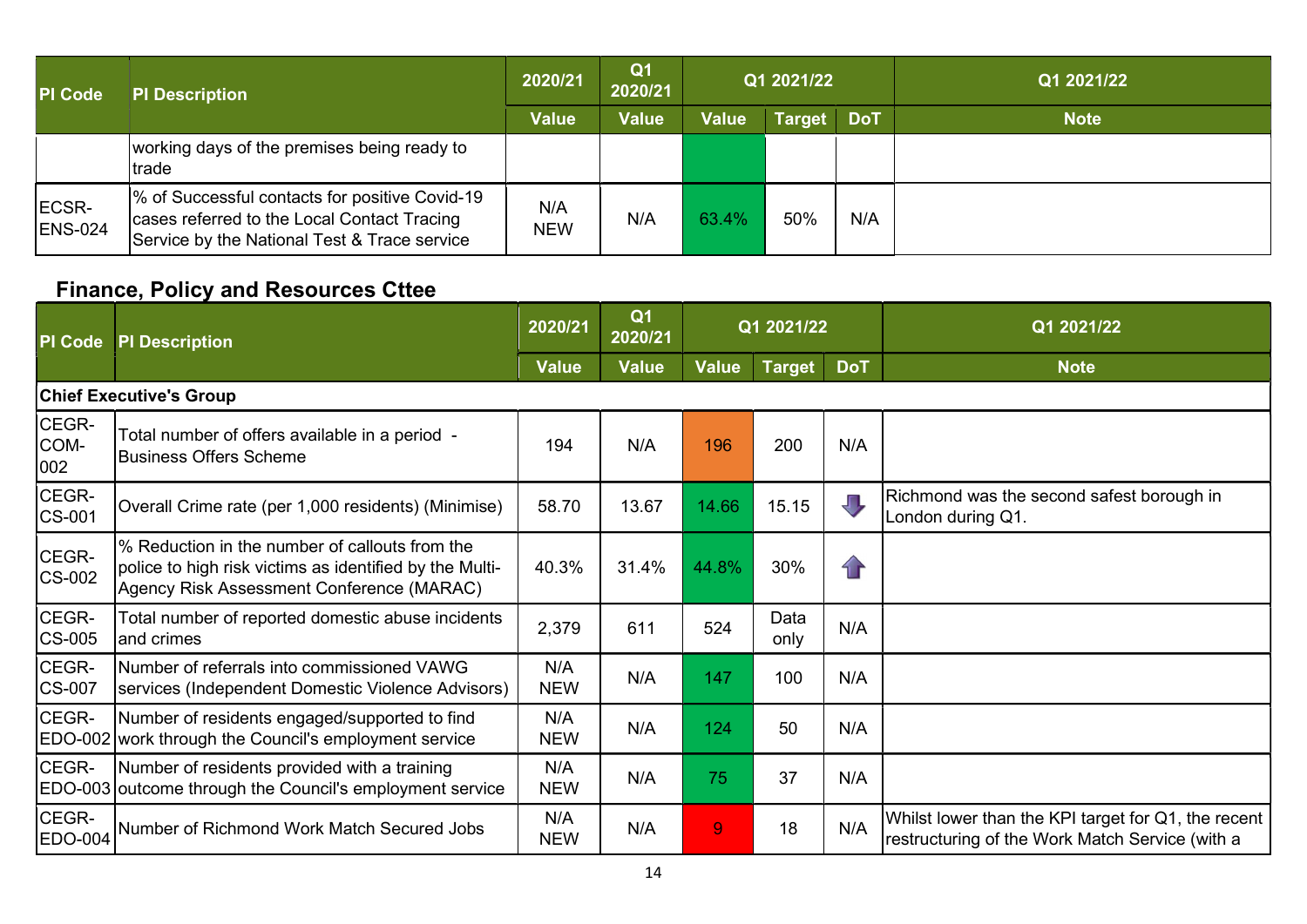| <b>PI</b> Code          | <b>PI Description</b>                                                                                                                         | 2020/21           | Q <sub>1</sub><br>2020/21 | Q1 2021/22   |               |            | Q1 2021/22  |
|-------------------------|-----------------------------------------------------------------------------------------------------------------------------------------------|-------------------|---------------------------|--------------|---------------|------------|-------------|
|                         |                                                                                                                                               | <b>Value</b>      | <b>Value</b>              | <b>Value</b> | <b>Target</b> | <b>DoT</b> | <b>Note</b> |
|                         | working days of the premises being ready to<br>trade                                                                                          |                   |                           |              |               |            |             |
| ECSR-<br><b>ENS-024</b> | % of Successful contacts for positive Covid-19<br>cases referred to the Local Contact Tracing<br>Service by the National Test & Trace service | N/A<br><b>NEW</b> | N/A                       | 63.4%        | 50%           | N/A        |             |

### Finance, Policy and Resources Cttee

| PI Code              | <b>PI Description</b>                                                                                                                                  | 2020/21           | Q <sub>1</sub><br>2020/21 | Q1 2021/22     |              |            | Q1 2021/22                                                                                             |  |  |  |  |
|----------------------|--------------------------------------------------------------------------------------------------------------------------------------------------------|-------------------|---------------------------|----------------|--------------|------------|--------------------------------------------------------------------------------------------------------|--|--|--|--|
|                      |                                                                                                                                                        | <b>Value</b>      | <b>Value</b>              | <b>Value</b>   | Target       | <b>DoT</b> | <b>Note</b>                                                                                            |  |  |  |  |
|                      | <b>Chief Executive's Group</b>                                                                                                                         |                   |                           |                |              |            |                                                                                                        |  |  |  |  |
| CEGR-<br>COM-<br>002 | Total number of offers available in a period -<br><b>Business Offers Scheme</b>                                                                        | 194               | N/A                       | 196            | 200          | N/A        |                                                                                                        |  |  |  |  |
| CEGR-<br>CS-001      | Overall Crime rate (per 1,000 residents) (Minimise)                                                                                                    | 58.70             | 13.67                     | 14.66          | 15.15        | JT,        | Richmond was the second safest borough in<br>London during Q1.                                         |  |  |  |  |
| CEGR-<br>CS-002      | % Reduction in the number of callouts from the<br>police to high risk victims as identified by the Multi-<br>Agency Risk Assessment Conference (MARAC) | 40.3%             | 31.4%                     | 44.8%          | 30%          | $\bigcap$  |                                                                                                        |  |  |  |  |
| CEGR-<br>CS-005      | Total number of reported domestic abuse incidents<br>and crimes                                                                                        | 2,379             | 611                       | 524            | Data<br>only | N/A        |                                                                                                        |  |  |  |  |
| CEGR-<br>CS-007      | INumber of referrals into commissioned VAWG<br>services (Independent Domestic Violence Advisors)                                                       | N/A<br><b>NEW</b> | N/A                       | 147            | 100          | N/A        |                                                                                                        |  |  |  |  |
| CEGR-                | Number of residents engaged/supported to find<br>EDO-002 work through the Council's employment service                                                 | N/A<br><b>NEW</b> | N/A                       | 124            | 50           | N/A        |                                                                                                        |  |  |  |  |
| CEGR-                | Number of residents provided with a training<br>EDO-003 outcome through the Council's employment service                                               | N/A<br><b>NEW</b> | N/A                       | 75             | 37           | N/A        |                                                                                                        |  |  |  |  |
| CEGR-<br>EDO-004     | Number of Richmond Work Match Secured Jobs                                                                                                             | N/A<br><b>NEW</b> | N/A                       | $\overline{9}$ | 18           | N/A        | Whilst lower than the KPI target for Q1, the recent<br>restructuring of the Work Match Service (with a |  |  |  |  |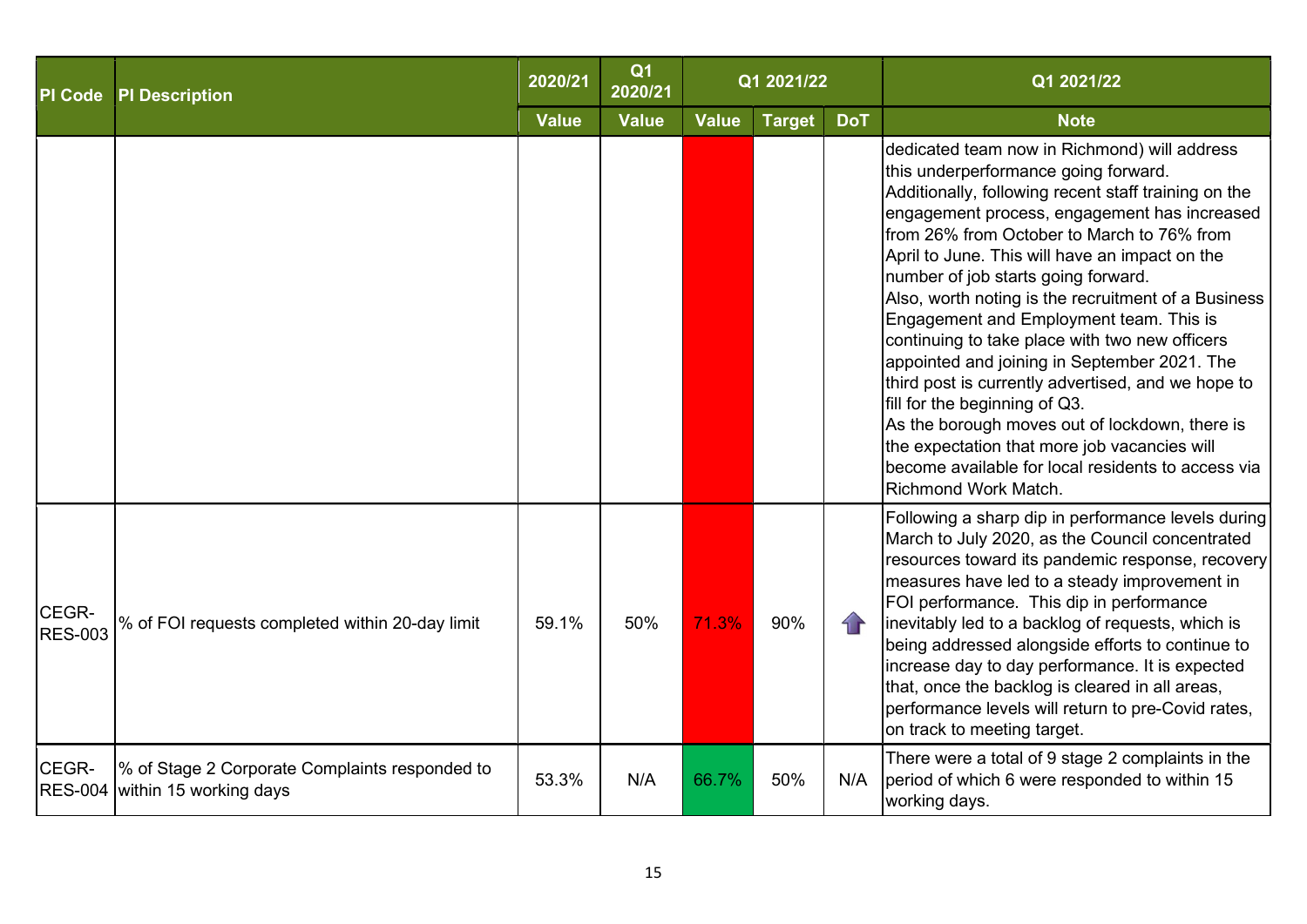| <b>PI Code</b>          | <b>PI Description</b>                                                            | 2020/21 | Q <sub>1</sub><br>2020/21 |              | Q1 2021/22    |                   | Q1 2021/22                                                                                                                                                                                                                                                                                                                                                                                                                                                                                                                                                                                                                                                                                                                                                                                                            |
|-------------------------|----------------------------------------------------------------------------------|---------|---------------------------|--------------|---------------|-------------------|-----------------------------------------------------------------------------------------------------------------------------------------------------------------------------------------------------------------------------------------------------------------------------------------------------------------------------------------------------------------------------------------------------------------------------------------------------------------------------------------------------------------------------------------------------------------------------------------------------------------------------------------------------------------------------------------------------------------------------------------------------------------------------------------------------------------------|
|                         |                                                                                  |         | <b>Value</b>              | <b>Value</b> | <b>Target</b> | <b>DoT</b>        | <b>Note</b>                                                                                                                                                                                                                                                                                                                                                                                                                                                                                                                                                                                                                                                                                                                                                                                                           |
|                         |                                                                                  |         |                           |              |               |                   | dedicated team now in Richmond) will address<br>this underperformance going forward.<br>Additionally, following recent staff training on the<br>engagement process, engagement has increased<br>from 26% from October to March to 76% from<br>April to June. This will have an impact on the<br>number of job starts going forward.<br>Also, worth noting is the recruitment of a Business<br>Engagement and Employment team. This is<br>continuing to take place with two new officers<br>appointed and joining in September 2021. The<br>third post is currently advertised, and we hope to<br>fill for the beginning of Q3.<br>As the borough moves out of lockdown, there is<br>the expectation that more job vacancies will<br>become available for local residents to access via<br><b>Richmond Work Match.</b> |
| CEGR-<br><b>RES-003</b> | % of FOI requests completed within 20-day limit                                  | 59.1%   | 50%                       | 71.3%        | 90%           | $\left\{ \right.$ | Following a sharp dip in performance levels during<br>March to July 2020, as the Council concentrated<br>resources toward its pandemic response, recovery<br>measures have led to a steady improvement in<br>FOI performance. This dip in performance<br>inevitably led to a backlog of requests, which is<br>being addressed alongside efforts to continue to<br>increase day to day performance. It is expected<br>that, once the backlog is cleared in all areas,<br>performance levels will return to pre-Covid rates,<br>on track to meeting target.                                                                                                                                                                                                                                                             |
| CEGR-                   | % of Stage 2 Corporate Complaints responded to<br>RES-004 within 15 working days | 53.3%   | N/A                       | 66.7%        | 50%           | N/A               | There were a total of 9 stage 2 complaints in the<br>period of which 6 were responded to within 15<br>working days.                                                                                                                                                                                                                                                                                                                                                                                                                                                                                                                                                                                                                                                                                                   |